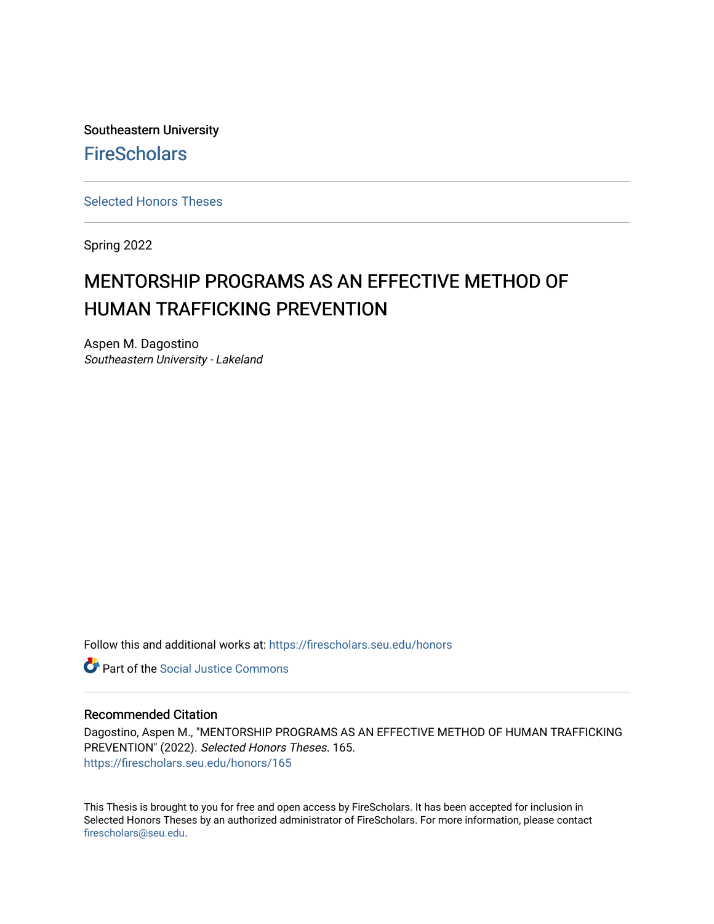Southeastern University **FireScholars** 

[Selected Honors Theses](https://firescholars.seu.edu/honors)

Spring 2022

# MENTORSHIP PROGRAMS AS AN EFFECTIVE METHOD OF HUMAN TRAFFICKING PREVENTION

Aspen M. Dagostino Southeastern University - Lakeland

Follow this and additional works at: [https://firescholars.seu.edu/honors](https://firescholars.seu.edu/honors?utm_source=firescholars.seu.edu%2Fhonors%2F165&utm_medium=PDF&utm_campaign=PDFCoverPages)

**Part of the Social Justice Commons** 

#### Recommended Citation

Dagostino, Aspen M., "MENTORSHIP PROGRAMS AS AN EFFECTIVE METHOD OF HUMAN TRAFFICKING PREVENTION" (2022). Selected Honors Theses. 165. [https://firescholars.seu.edu/honors/165](https://firescholars.seu.edu/honors/165?utm_source=firescholars.seu.edu%2Fhonors%2F165&utm_medium=PDF&utm_campaign=PDFCoverPages)

This Thesis is brought to you for free and open access by FireScholars. It has been accepted for inclusion in Selected Honors Theses by an authorized administrator of FireScholars. For more information, please contact [firescholars@seu.edu.](mailto:firescholars@seu.edu)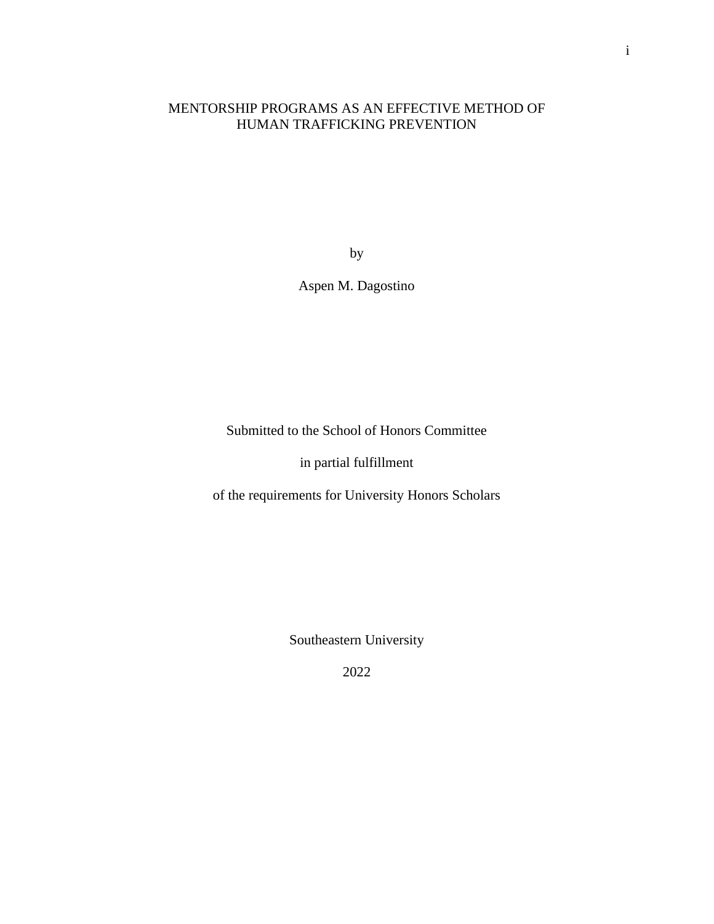# MENTORSHIP PROGRAMS AS AN EFFECTIVE METHOD OF HUMAN TRAFFICKING PREVENTION

by

Aspen M. Dagostino

Submitted to the School of Honors Committee

in partial fulfillment

of the requirements for University Honors Scholars

Southeastern University

2022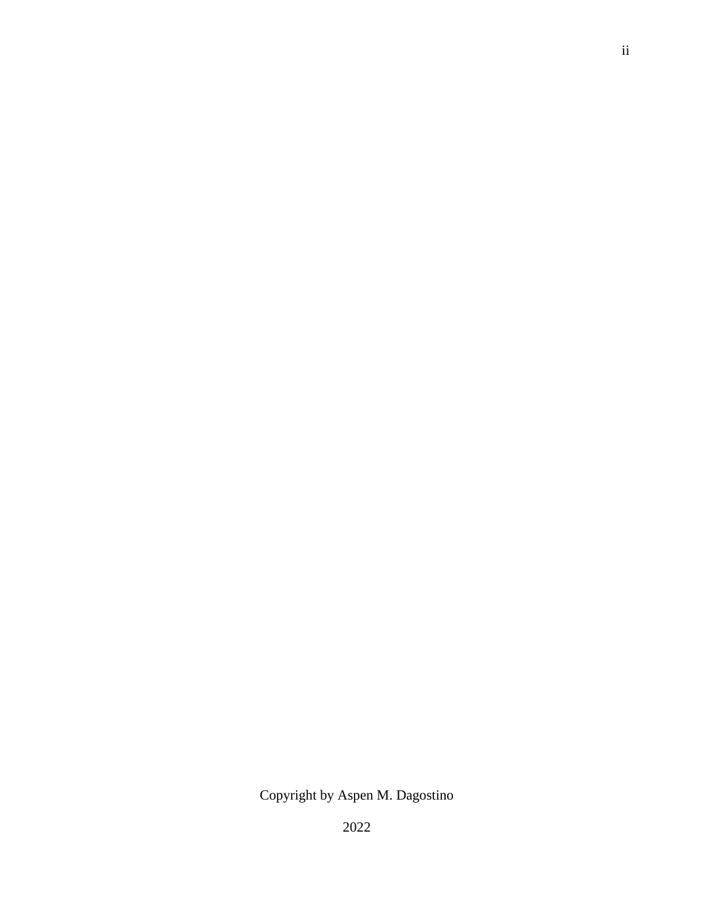Copyright by Aspen M. Dagostino

2022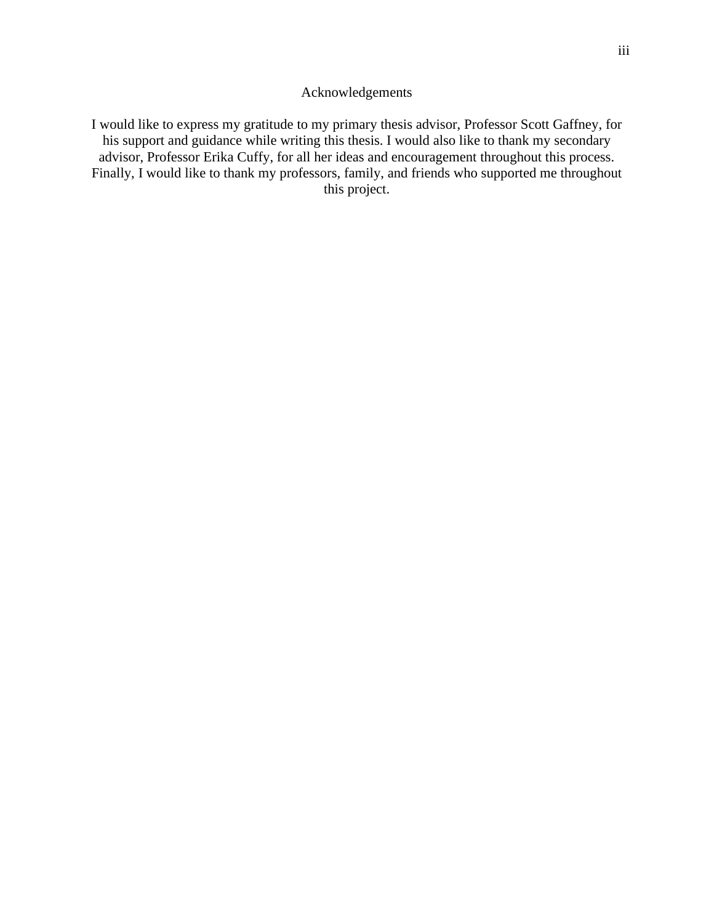## Acknowledgements

I would like to express my gratitude to my primary thesis advisor, Professor Scott Gaffney, for his support and guidance while writing this thesis. I would also like to thank my secondary advisor, Professor Erika Cuffy, for all her ideas and encouragement throughout this process. Finally, I would like to thank my professors, family, and friends who supported me throughout this project.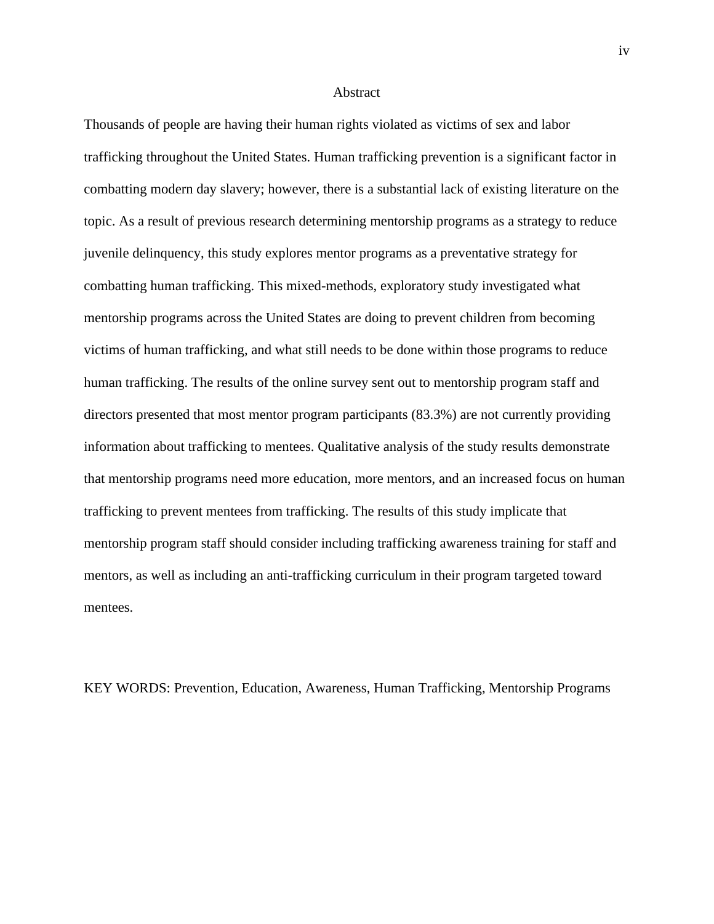#### **Abstract**

Thousands of people are having their human rights violated as victims of sex and labor trafficking throughout the United States. Human trafficking prevention is a significant factor in combatting modern day slavery; however, there is a substantial lack of existing literature on the topic. As a result of previous research determining mentorship programs as a strategy to reduce juvenile delinquency, this study explores mentor programs as a preventative strategy for combatting human trafficking. This mixed-methods, exploratory study investigated what mentorship programs across the United States are doing to prevent children from becoming victims of human trafficking, and what still needs to be done within those programs to reduce human trafficking. The results of the online survey sent out to mentorship program staff and directors presented that most mentor program participants (83.3%) are not currently providing information about trafficking to mentees. Qualitative analysis of the study results demonstrate that mentorship programs need more education, more mentors, and an increased focus on human trafficking to prevent mentees from trafficking. The results of this study implicate that mentorship program staff should consider including trafficking awareness training for staff and mentors, as well as including an anti-trafficking curriculum in their program targeted toward mentees.

KEY WORDS: Prevention, Education, Awareness, Human Trafficking, Mentorship Programs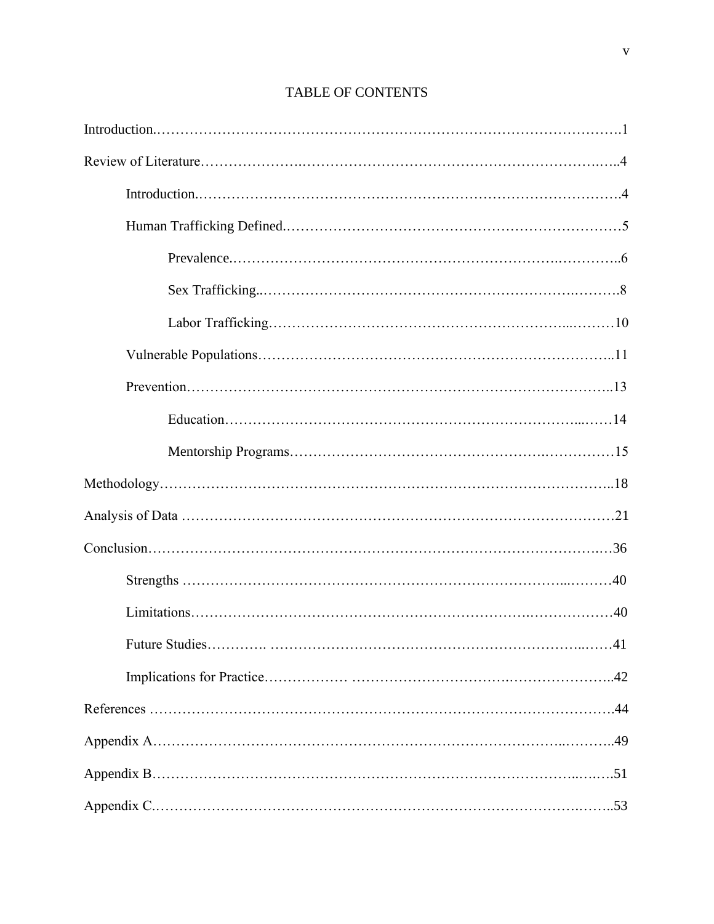| .41 |  |
|-----|--|
|     |  |
|     |  |
|     |  |
|     |  |
|     |  |

# TABLE OF CONTENTS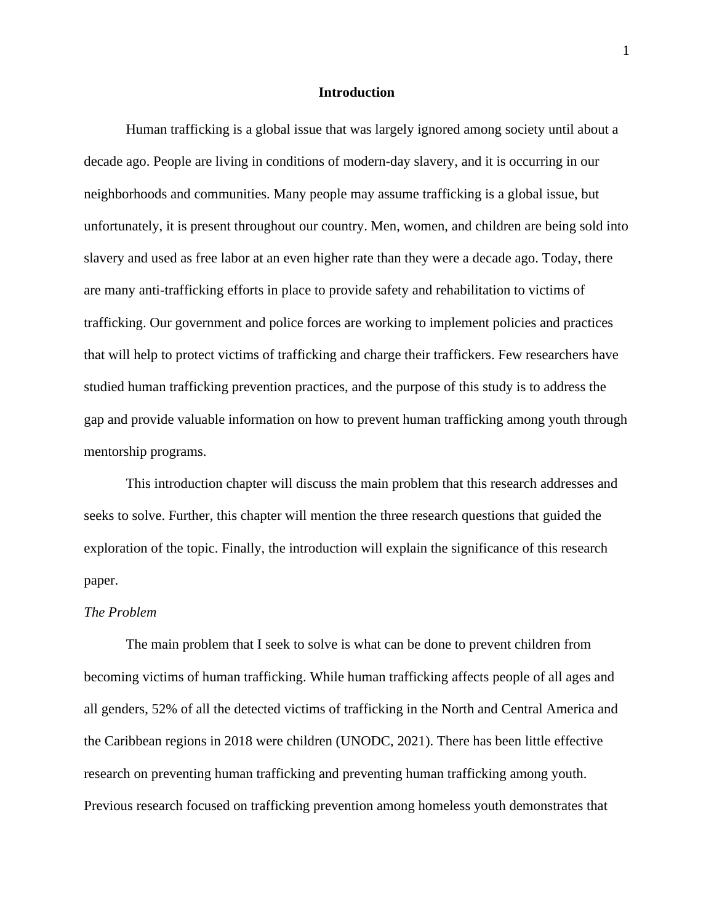#### **Introduction**

Human trafficking is a global issue that was largely ignored among society until about a decade ago. People are living in conditions of modern-day slavery, and it is occurring in our neighborhoods and communities. Many people may assume trafficking is a global issue, but unfortunately, it is present throughout our country. Men, women, and children are being sold into slavery and used as free labor at an even higher rate than they were a decade ago. Today, there are many anti-trafficking efforts in place to provide safety and rehabilitation to victims of trafficking. Our government and police forces are working to implement policies and practices that will help to protect victims of trafficking and charge their traffickers. Few researchers have studied human trafficking prevention practices, and the purpose of this study is to address the gap and provide valuable information on how to prevent human trafficking among youth through mentorship programs.

This introduction chapter will discuss the main problem that this research addresses and seeks to solve. Further, this chapter will mention the three research questions that guided the exploration of the topic. Finally, the introduction will explain the significance of this research paper.

### *The Problem*

The main problem that I seek to solve is what can be done to prevent children from becoming victims of human trafficking. While human trafficking affects people of all ages and all genders, 52% of all the detected victims of trafficking in the North and Central America and the Caribbean regions in 2018 were children (UNODC, 2021). There has been little effective research on preventing human trafficking and preventing human trafficking among youth. Previous research focused on trafficking prevention among homeless youth demonstrates that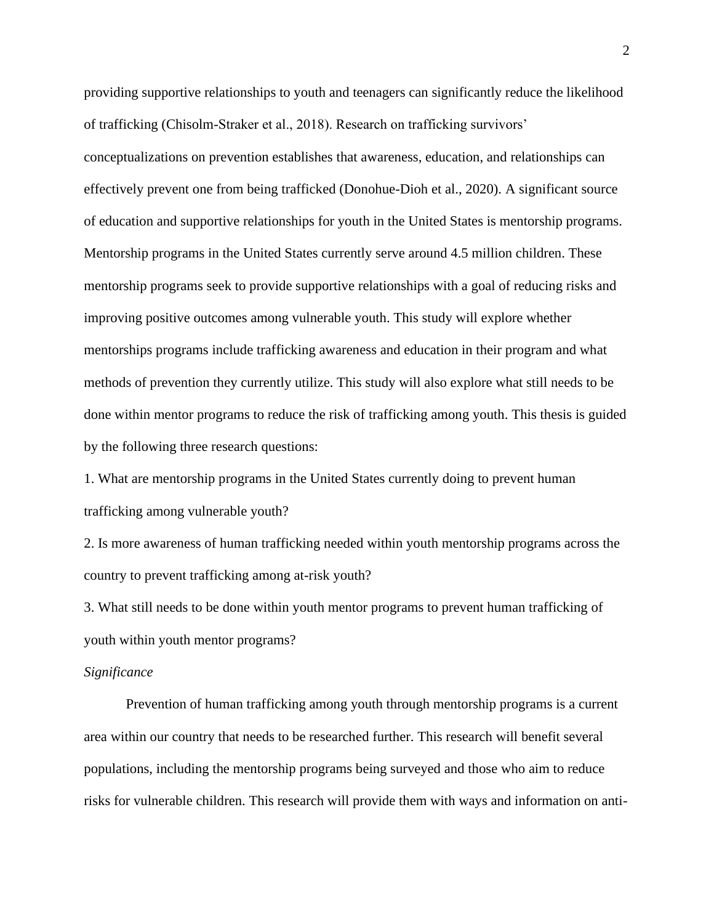providing supportive relationships to youth and teenagers can significantly reduce the likelihood of trafficking (Chisolm-Straker et al., 2018). Research on trafficking survivors' conceptualizations on prevention establishes that awareness, education, and relationships can effectively prevent one from being trafficked (Donohue-Dioh et al., 2020). A significant source of education and supportive relationships for youth in the United States is mentorship programs. Mentorship programs in the United States currently serve around 4.5 million children. These mentorship programs seek to provide supportive relationships with a goal of reducing risks and improving positive outcomes among vulnerable youth. This study will explore whether mentorships programs include trafficking awareness and education in their program and what methods of prevention they currently utilize. This study will also explore what still needs to be done within mentor programs to reduce the risk of trafficking among youth. This thesis is guided by the following three research questions:

1. What are mentorship programs in the United States currently doing to prevent human trafficking among vulnerable youth?

2. Is more awareness of human trafficking needed within youth mentorship programs across the country to prevent trafficking among at-risk youth?

3. What still needs to be done within youth mentor programs to prevent human trafficking of youth within youth mentor programs?

#### *Significance*

Prevention of human trafficking among youth through mentorship programs is a current area within our country that needs to be researched further. This research will benefit several populations, including the mentorship programs being surveyed and those who aim to reduce risks for vulnerable children. This research will provide them with ways and information on anti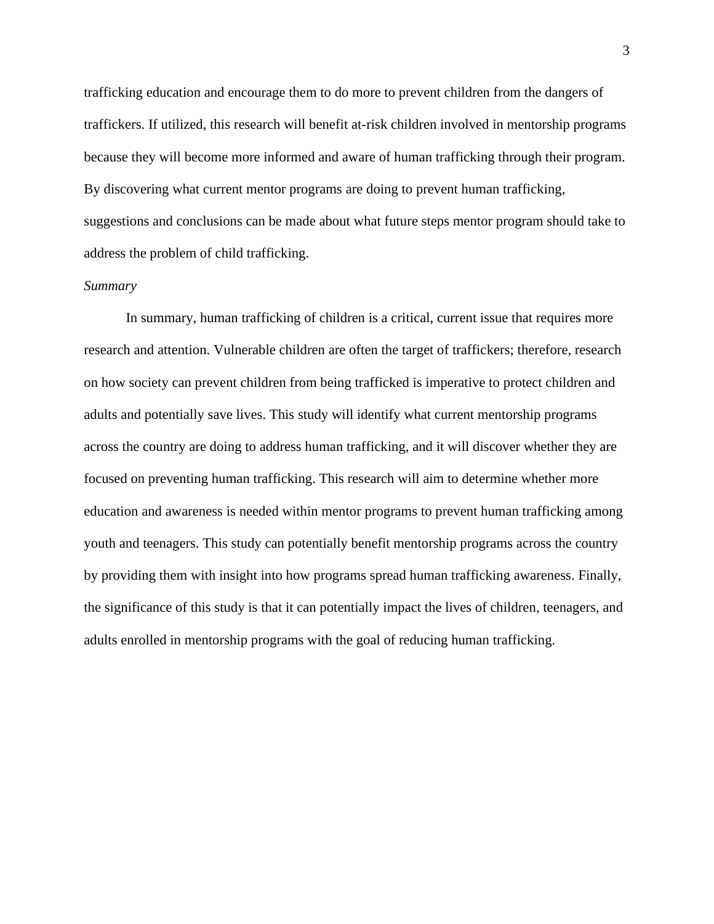trafficking education and encourage them to do more to prevent children from the dangers of traffickers. If utilized, this research will benefit at-risk children involved in mentorship programs because they will become more informed and aware of human trafficking through their program. By discovering what current mentor programs are doing to prevent human trafficking, suggestions and conclusions can be made about what future steps mentor program should take to address the problem of child trafficking.

#### *Summary*

In summary, human trafficking of children is a critical, current issue that requires more research and attention. Vulnerable children are often the target of traffickers; therefore, research on how society can prevent children from being trafficked is imperative to protect children and adults and potentially save lives. This study will identify what current mentorship programs across the country are doing to address human trafficking, and it will discover whether they are focused on preventing human trafficking. This research will aim to determine whether more education and awareness is needed within mentor programs to prevent human trafficking among youth and teenagers. This study can potentially benefit mentorship programs across the country by providing them with insight into how programs spread human trafficking awareness. Finally, the significance of this study is that it can potentially impact the lives of children, teenagers, and adults enrolled in mentorship programs with the goal of reducing human trafficking.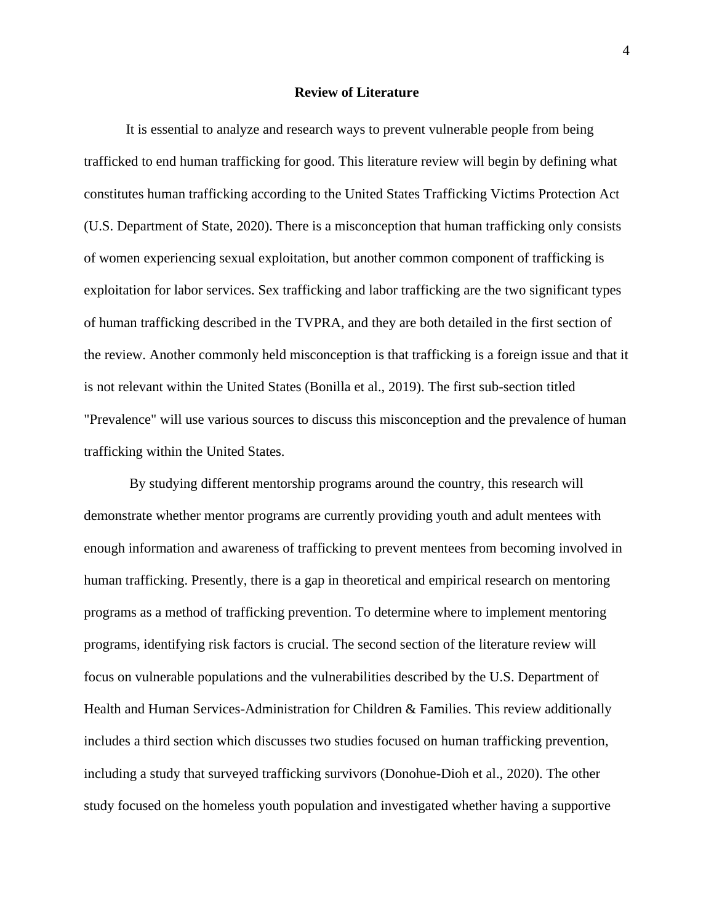#### **Review of Literature**

It is essential to analyze and research ways to prevent vulnerable people from being trafficked to end human trafficking for good. This literature review will begin by defining what constitutes human trafficking according to the United States Trafficking Victims Protection Act (U.S. Department of State, 2020). There is a misconception that human trafficking only consists of women experiencing sexual exploitation, but another common component of trafficking is exploitation for labor services. Sex trafficking and labor trafficking are the two significant types of human trafficking described in the TVPRA, and they are both detailed in the first section of the review. Another commonly held misconception is that trafficking is a foreign issue and that it is not relevant within the United States (Bonilla et al., 2019). The first sub-section titled "Prevalence" will use various sources to discuss this misconception and the prevalence of human trafficking within the United States.

By studying different mentorship programs around the country, this research will demonstrate whether mentor programs are currently providing youth and adult mentees with enough information and awareness of trafficking to prevent mentees from becoming involved in human trafficking. Presently, there is a gap in theoretical and empirical research on mentoring programs as a method of trafficking prevention. To determine where to implement mentoring programs, identifying risk factors is crucial. The second section of the literature review will focus on vulnerable populations and the vulnerabilities described by the U.S. Department of Health and Human Services-Administration for Children & Families. This review additionally includes a third section which discusses two studies focused on human trafficking prevention, including a study that surveyed trafficking survivors (Donohue-Dioh et al., 2020). The other study focused on the homeless youth population and investigated whether having a supportive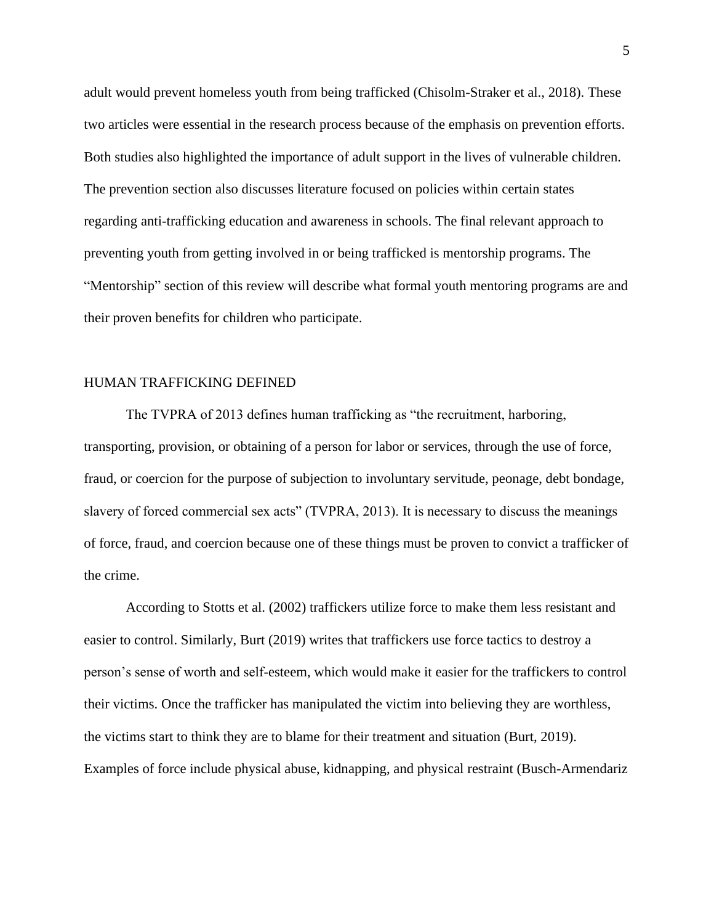adult would prevent homeless youth from being trafficked (Chisolm-Straker et al., 2018). These two articles were essential in the research process because of the emphasis on prevention efforts. Both studies also highlighted the importance of adult support in the lives of vulnerable children. The prevention section also discusses literature focused on policies within certain states regarding anti-trafficking education and awareness in schools. The final relevant approach to preventing youth from getting involved in or being trafficked is mentorship programs. The "Mentorship" section of this review will describe what formal youth mentoring programs are and their proven benefits for children who participate.

#### HUMAN TRAFFICKING DEFINED

The TVPRA of 2013 defines human trafficking as "the recruitment, harboring, transporting, provision, or obtaining of a person for labor or services, through the use of force, fraud, or coercion for the purpose of subjection to involuntary servitude, peonage, debt bondage, slavery of forced commercial sex acts" (TVPRA, 2013). It is necessary to discuss the meanings of force, fraud, and coercion because one of these things must be proven to convict a trafficker of the crime.

According to Stotts et al. (2002) traffickers utilize force to make them less resistant and easier to control. Similarly, Burt (2019) writes that traffickers use force tactics to destroy a person's sense of worth and self-esteem, which would make it easier for the traffickers to control their victims. Once the trafficker has manipulated the victim into believing they are worthless, the victims start to think they are to blame for their treatment and situation (Burt, 2019). Examples of force include physical abuse, kidnapping, and physical restraint (Busch-Armendariz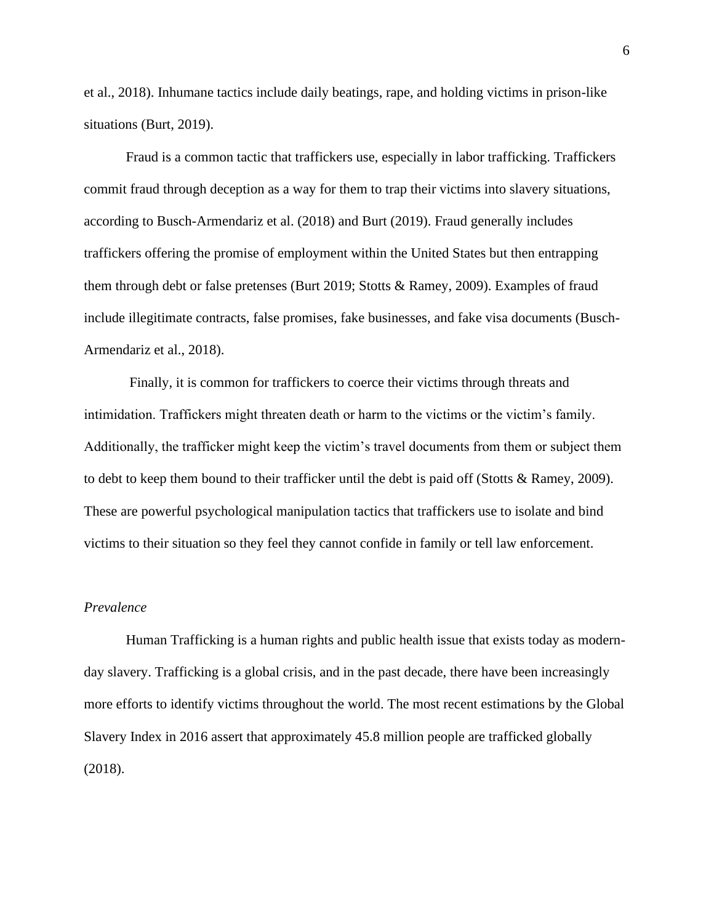et al., 2018). Inhumane tactics include daily beatings, rape, and holding victims in prison-like situations (Burt, 2019).

Fraud is a common tactic that traffickers use, especially in labor trafficking. Traffickers commit fraud through deception as a way for them to trap their victims into slavery situations, according to Busch-Armendariz et al. (2018) and Burt (2019). Fraud generally includes traffickers offering the promise of employment within the United States but then entrapping them through debt or false pretenses (Burt 2019; Stotts & Ramey, 2009). Examples of fraud include illegitimate contracts, false promises, fake businesses, and fake visa documents (Busch-Armendariz et al., 2018).

Finally, it is common for traffickers to coerce their victims through threats and intimidation. Traffickers might threaten death or harm to the victims or the victim's family. Additionally, the trafficker might keep the victim's travel documents from them or subject them to debt to keep them bound to their trafficker until the debt is paid off (Stotts & Ramey, 2009). These are powerful psychological manipulation tactics that traffickers use to isolate and bind victims to their situation so they feel they cannot confide in family or tell law enforcement.

#### *Prevalence*

Human Trafficking is a human rights and public health issue that exists today as modernday slavery. Trafficking is a global crisis, and in the past decade, there have been increasingly more efforts to identify victims throughout the world. The most recent estimations by the Global Slavery Index in 2016 assert that approximately 45.8 million people are trafficked globally (2018).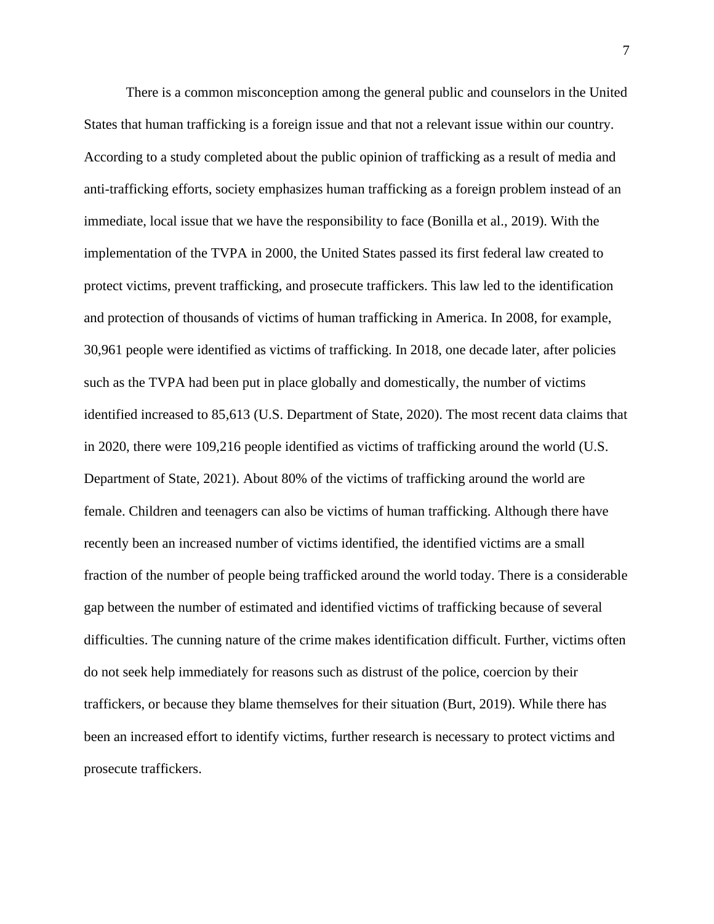There is a common misconception among the general public and counselors in the United States that human trafficking is a foreign issue and that not a relevant issue within our country. According to a study completed about the public opinion of trafficking as a result of media and anti-trafficking efforts, society emphasizes human trafficking as a foreign problem instead of an immediate, local issue that we have the responsibility to face (Bonilla et al., 2019). With the implementation of the TVPA in 2000, the United States passed its first federal law created to protect victims, prevent trafficking, and prosecute traffickers. This law led to the identification and protection of thousands of victims of human trafficking in America. In 2008, for example, 30,961 people were identified as victims of trafficking. In 2018, one decade later, after policies such as the TVPA had been put in place globally and domestically, the number of victims identified increased to 85,613 (U.S. Department of State, 2020). The most recent data claims that in 2020, there were 109,216 people identified as victims of trafficking around the world (U.S. Department of State, 2021). About 80% of the victims of trafficking around the world are female. Children and teenagers can also be victims of human trafficking. Although there have recently been an increased number of victims identified, the identified victims are a small fraction of the number of people being trafficked around the world today. There is a considerable gap between the number of estimated and identified victims of trafficking because of several difficulties. The cunning nature of the crime makes identification difficult. Further, victims often do not seek help immediately for reasons such as distrust of the police, coercion by their traffickers, or because they blame themselves for their situation (Burt, 2019). While there has been an increased effort to identify victims, further research is necessary to protect victims and prosecute traffickers.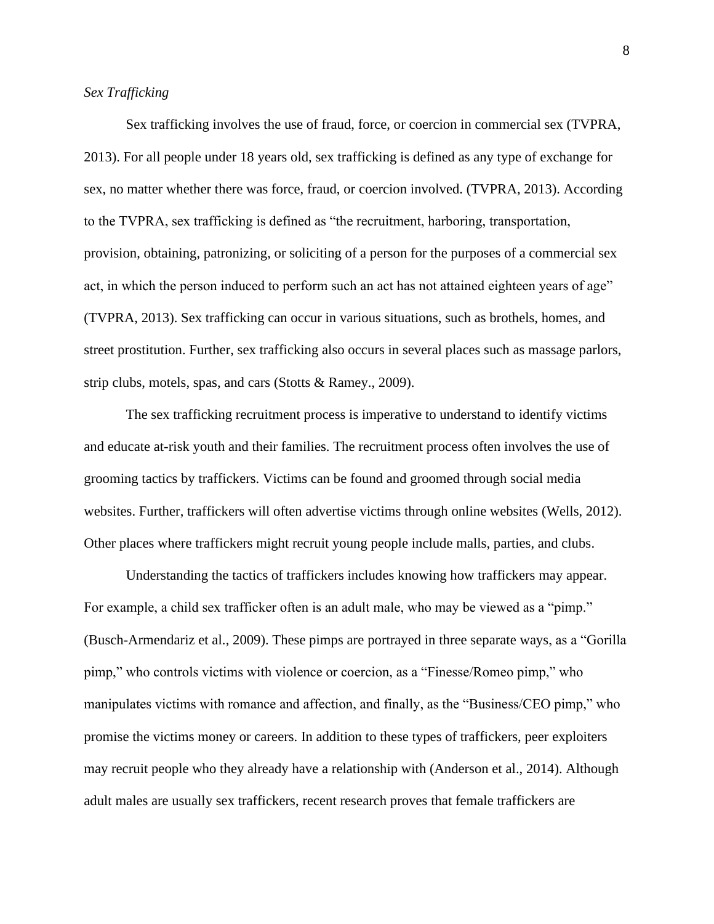#### *Sex Trafficking*

Sex trafficking involves the use of fraud, force, or coercion in commercial sex (TVPRA, 2013). For all people under 18 years old, sex trafficking is defined as any type of exchange for sex, no matter whether there was force, fraud, or coercion involved. (TVPRA, 2013). According to the TVPRA, sex trafficking is defined as "the recruitment, harboring, transportation, provision, obtaining, patronizing, or soliciting of a person for the purposes of a commercial sex act, in which the person induced to perform such an act has not attained eighteen years of age" (TVPRA, 2013). Sex trafficking can occur in various situations, such as brothels, homes, and street prostitution. Further, sex trafficking also occurs in several places such as massage parlors, strip clubs, motels, spas, and cars (Stotts & Ramey., 2009).

The sex trafficking recruitment process is imperative to understand to identify victims and educate at-risk youth and their families. The recruitment process often involves the use of grooming tactics by traffickers. Victims can be found and groomed through social media websites. Further, traffickers will often advertise victims through online websites (Wells, 2012). Other places where traffickers might recruit young people include malls, parties, and clubs.

Understanding the tactics of traffickers includes knowing how traffickers may appear. For example, a child sex trafficker often is an adult male, who may be viewed as a "pimp." (Busch-Armendariz et al., 2009). These pimps are portrayed in three separate ways, as a "Gorilla pimp," who controls victims with violence or coercion, as a "Finesse/Romeo pimp," who manipulates victims with romance and affection, and finally, as the "Business/CEO pimp," who promise the victims money or careers. In addition to these types of traffickers, peer exploiters may recruit people who they already have a relationship with (Anderson et al., 2014). Although adult males are usually sex traffickers, recent research proves that female traffickers are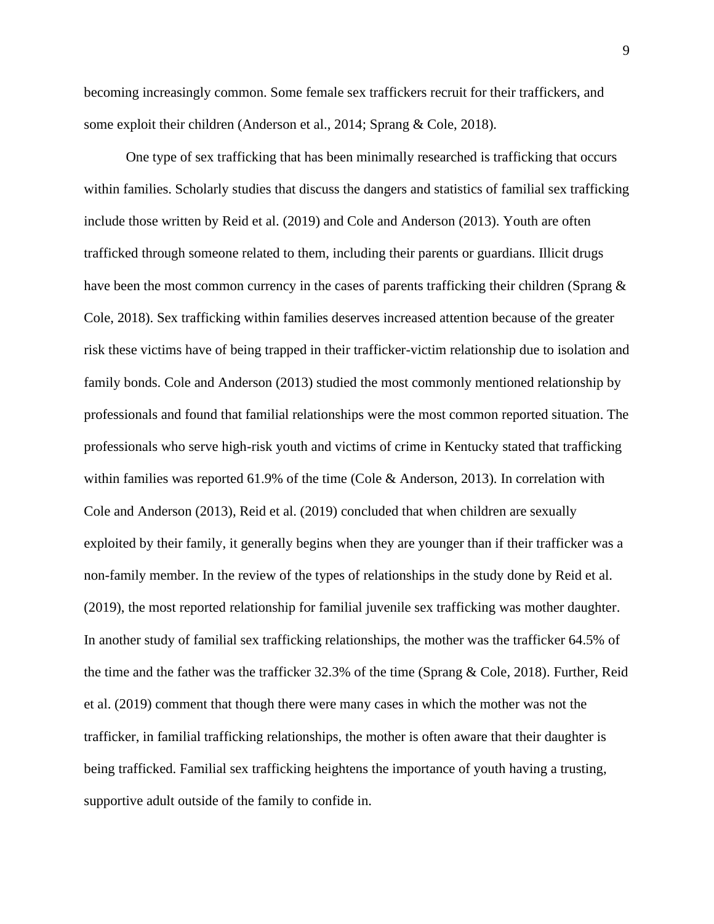becoming increasingly common. Some female sex traffickers recruit for their traffickers, and some exploit their children (Anderson et al., 2014; Sprang & Cole, 2018).

One type of sex trafficking that has been minimally researched is trafficking that occurs within families. Scholarly studies that discuss the dangers and statistics of familial sex trafficking include those written by Reid et al. (2019) and Cole and Anderson (2013). Youth are often trafficked through someone related to them, including their parents or guardians. Illicit drugs have been the most common currency in the cases of parents trafficking their children (Sprang  $\&$ Cole, 2018). Sex trafficking within families deserves increased attention because of the greater risk these victims have of being trapped in their trafficker-victim relationship due to isolation and family bonds. Cole and Anderson (2013) studied the most commonly mentioned relationship by professionals and found that familial relationships were the most common reported situation. The professionals who serve high-risk youth and victims of crime in Kentucky stated that trafficking within families was reported 61.9% of the time (Cole & Anderson, 2013). In correlation with Cole and Anderson (2013), Reid et al. (2019) concluded that when children are sexually exploited by their family, it generally begins when they are younger than if their trafficker was a non-family member. In the review of the types of relationships in the study done by Reid et al. (2019), the most reported relationship for familial juvenile sex trafficking was mother daughter. In another study of familial sex trafficking relationships, the mother was the trafficker 64.5% of the time and the father was the trafficker 32.3% of the time (Sprang & Cole, 2018). Further, Reid et al. (2019) comment that though there were many cases in which the mother was not the trafficker, in familial trafficking relationships, the mother is often aware that their daughter is being trafficked. Familial sex trafficking heightens the importance of youth having a trusting, supportive adult outside of the family to confide in.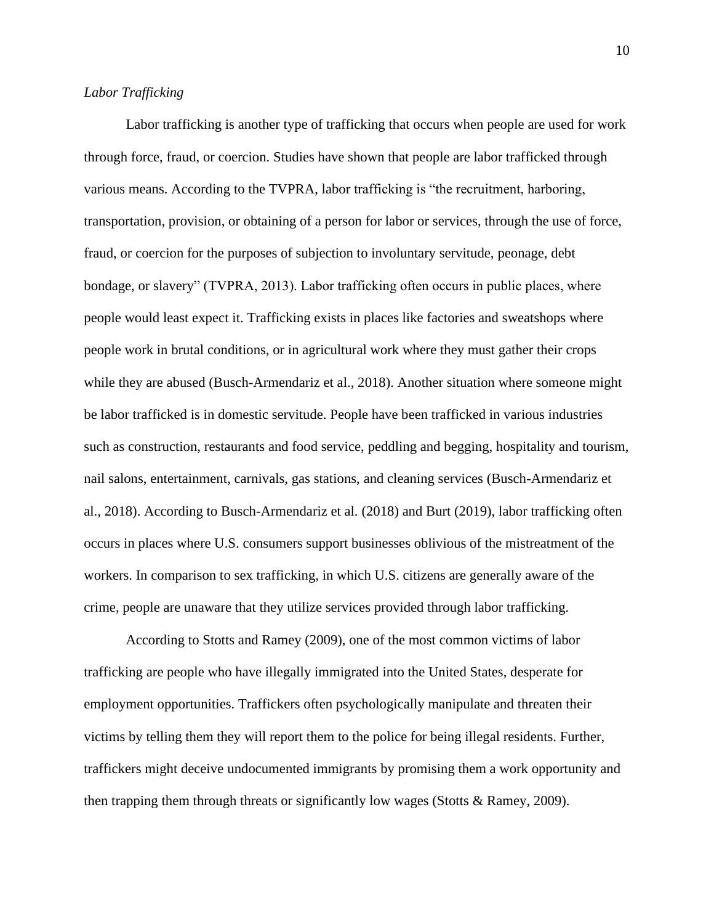### *Labor Trafficking*

Labor trafficking is another type of trafficking that occurs when people are used for work through force, fraud, or coercion. Studies have shown that people are labor trafficked through various means. According to the TVPRA, labor trafficking is "the recruitment, harboring, transportation, provision, or obtaining of a person for labor or services, through the use of force, fraud, or coercion for the purposes of subjection to involuntary servitude, peonage, debt bondage, or slavery" (TVPRA, 2013). Labor trafficking often occurs in public places, where people would least expect it. Trafficking exists in places like factories and sweatshops where people work in brutal conditions, or in agricultural work where they must gather their crops while they are abused (Busch-Armendariz et al., 2018). Another situation where someone might be labor trafficked is in domestic servitude. People have been trafficked in various industries such as construction, restaurants and food service, peddling and begging, hospitality and tourism, nail salons, entertainment, carnivals, gas stations, and cleaning services (Busch-Armendariz et al., 2018). According to Busch-Armendariz et al. (2018) and Burt (2019), labor trafficking often occurs in places where U.S. consumers support businesses oblivious of the mistreatment of the workers. In comparison to sex trafficking, in which U.S. citizens are generally aware of the crime, people are unaware that they utilize services provided through labor trafficking.

According to Stotts and Ramey (2009), one of the most common victims of labor trafficking are people who have illegally immigrated into the United States, desperate for employment opportunities. Traffickers often psychologically manipulate and threaten their victims by telling them they will report them to the police for being illegal residents. Further, traffickers might deceive undocumented immigrants by promising them a work opportunity and then trapping them through threats or significantly low wages (Stotts & Ramey, 2009).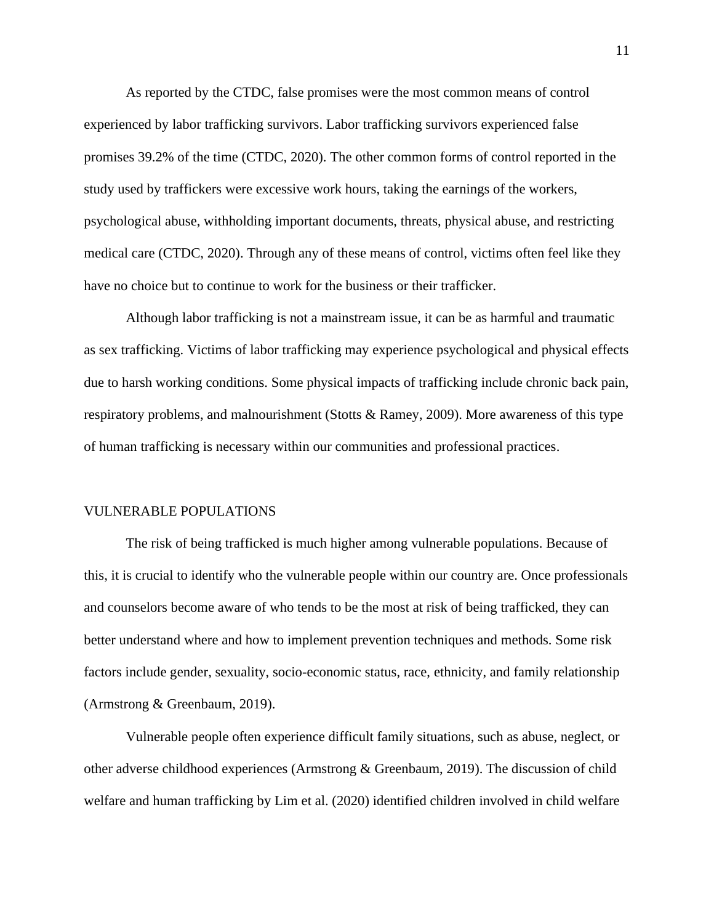As reported by the CTDC, false promises were the most common means of control experienced by labor trafficking survivors. Labor trafficking survivors experienced false promises 39.2% of the time (CTDC, 2020). The other common forms of control reported in the study used by traffickers were excessive work hours, taking the earnings of the workers, psychological abuse, withholding important documents, threats, physical abuse, and restricting medical care (CTDC, 2020). Through any of these means of control, victims often feel like they have no choice but to continue to work for the business or their trafficker.

Although labor trafficking is not a mainstream issue, it can be as harmful and traumatic as sex trafficking. Victims of labor trafficking may experience psychological and physical effects due to harsh working conditions. Some physical impacts of trafficking include chronic back pain, respiratory problems, and malnourishment (Stotts & Ramey, 2009). More awareness of this type of human trafficking is necessary within our communities and professional practices.

#### VULNERABLE POPULATIONS

The risk of being trafficked is much higher among vulnerable populations. Because of this, it is crucial to identify who the vulnerable people within our country are. Once professionals and counselors become aware of who tends to be the most at risk of being trafficked, they can better understand where and how to implement prevention techniques and methods. Some risk factors include gender, sexuality, socio-economic status, race, ethnicity, and family relationship (Armstrong & Greenbaum, 2019).

Vulnerable people often experience difficult family situations, such as abuse, neglect, or other adverse childhood experiences (Armstrong & Greenbaum, 2019). The discussion of child welfare and human trafficking by Lim et al. (2020) identified children involved in child welfare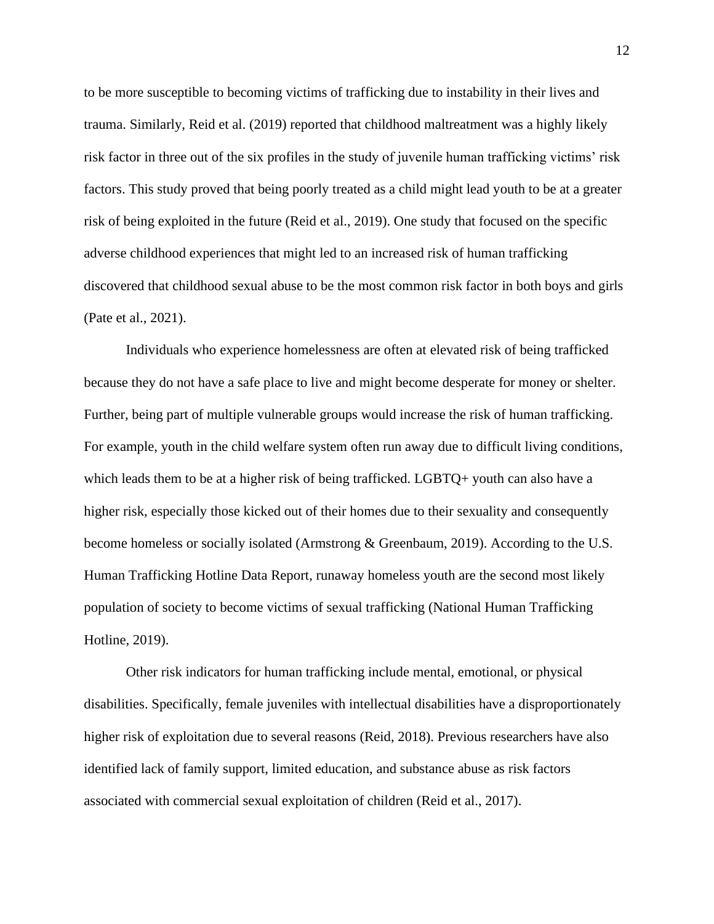to be more susceptible to becoming victims of trafficking due to instability in their lives and trauma. Similarly, Reid et al. (2019) reported that childhood maltreatment was a highly likely risk factor in three out of the six profiles in the study of juvenile human trafficking victims' risk factors. This study proved that being poorly treated as a child might lead youth to be at a greater risk of being exploited in the future (Reid et al., 2019). One study that focused on the specific adverse childhood experiences that might led to an increased risk of human trafficking discovered that childhood sexual abuse to be the most common risk factor in both boys and girls (Pate et al., 2021).

Individuals who experience homelessness are often at elevated risk of being trafficked because they do not have a safe place to live and might become desperate for money or shelter. Further, being part of multiple vulnerable groups would increase the risk of human trafficking. For example, youth in the child welfare system often run away due to difficult living conditions, which leads them to be at a higher risk of being trafficked. LGBTQ+ youth can also have a higher risk, especially those kicked out of their homes due to their sexuality and consequently become homeless or socially isolated (Armstrong & Greenbaum, 2019). According to the U.S. Human Trafficking Hotline Data Report, runaway homeless youth are the second most likely population of society to become victims of sexual trafficking (National Human Trafficking Hotline, 2019).

Other risk indicators for human trafficking include mental, emotional, or physical disabilities. Specifically, female juveniles with intellectual disabilities have a disproportionately higher risk of exploitation due to several reasons (Reid, 2018). Previous researchers have also identified lack of family support, limited education, and substance abuse as risk factors associated with commercial sexual exploitation of children (Reid et al., 2017).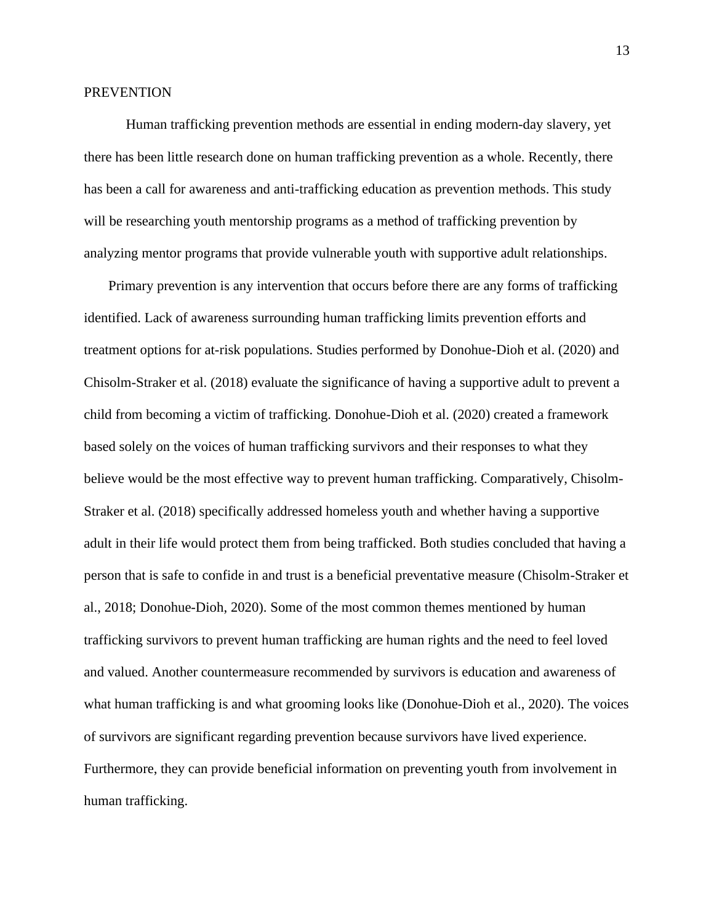#### **PREVENTION**

Human trafficking prevention methods are essential in ending modern-day slavery, yet there has been little research done on human trafficking prevention as a whole. Recently, there has been a call for awareness and anti-trafficking education as prevention methods. This study will be researching youth mentorship programs as a method of trafficking prevention by analyzing mentor programs that provide vulnerable youth with supportive adult relationships.

 Primary prevention is any intervention that occurs before there are any forms of trafficking identified. Lack of awareness surrounding human trafficking limits prevention efforts and treatment options for at-risk populations. Studies performed by Donohue-Dioh et al. (2020) and Chisolm-Straker et al. (2018) evaluate the significance of having a supportive adult to prevent a child from becoming a victim of trafficking. Donohue-Dioh et al. (2020) created a framework based solely on the voices of human trafficking survivors and their responses to what they believe would be the most effective way to prevent human trafficking. Comparatively, Chisolm-Straker et al. (2018) specifically addressed homeless youth and whether having a supportive adult in their life would protect them from being trafficked. Both studies concluded that having a person that is safe to confide in and trust is a beneficial preventative measure (Chisolm-Straker et al., 2018; Donohue-Dioh, 2020). Some of the most common themes mentioned by human trafficking survivors to prevent human trafficking are human rights and the need to feel loved and valued. Another countermeasure recommended by survivors is education and awareness of what human trafficking is and what grooming looks like (Donohue-Dioh et al., 2020). The voices of survivors are significant regarding prevention because survivors have lived experience. Furthermore, they can provide beneficial information on preventing youth from involvement in human trafficking.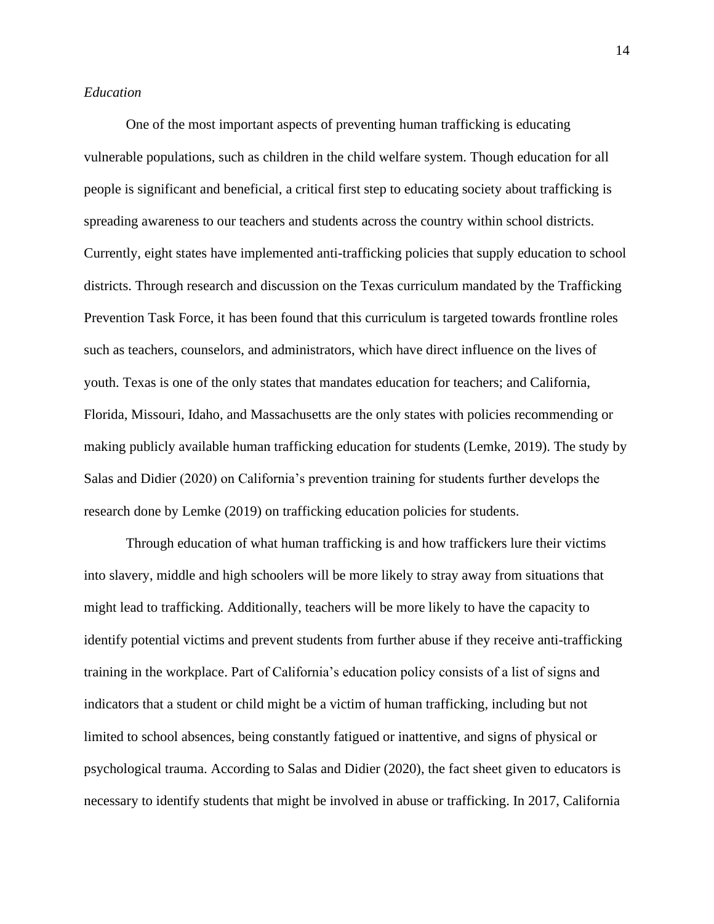#### *Education*

One of the most important aspects of preventing human trafficking is educating vulnerable populations, such as children in the child welfare system. Though education for all people is significant and beneficial, a critical first step to educating society about trafficking is spreading awareness to our teachers and students across the country within school districts. Currently, eight states have implemented anti-trafficking policies that supply education to school districts. Through research and discussion on the Texas curriculum mandated by the Trafficking Prevention Task Force, it has been found that this curriculum is targeted towards frontline roles such as teachers, counselors, and administrators, which have direct influence on the lives of youth. Texas is one of the only states that mandates education for teachers; and California, Florida, Missouri, Idaho, and Massachusetts are the only states with policies recommending or making publicly available human trafficking education for students (Lemke, 2019). The study by Salas and Didier (2020) on California's prevention training for students further develops the research done by Lemke (2019) on trafficking education policies for students.

Through education of what human trafficking is and how traffickers lure their victims into slavery, middle and high schoolers will be more likely to stray away from situations that might lead to trafficking. Additionally, teachers will be more likely to have the capacity to identify potential victims and prevent students from further abuse if they receive anti-trafficking training in the workplace. Part of California's education policy consists of a list of signs and indicators that a student or child might be a victim of human trafficking, including but not limited to school absences, being constantly fatigued or inattentive, and signs of physical or psychological trauma. According to Salas and Didier (2020), the fact sheet given to educators is necessary to identify students that might be involved in abuse or trafficking. In 2017, California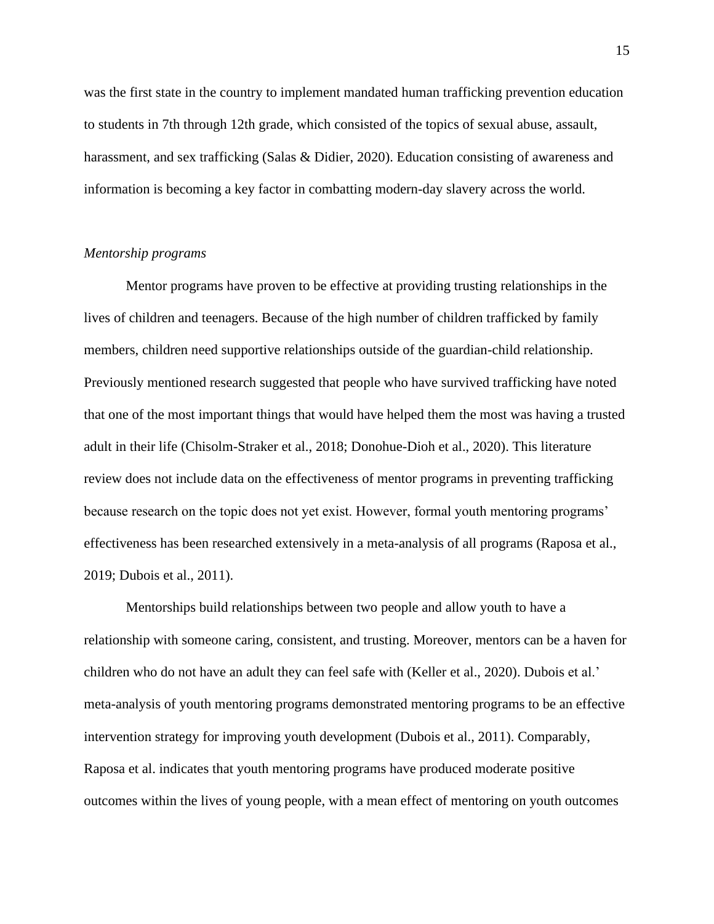was the first state in the country to implement mandated human trafficking prevention education to students in 7th through 12th grade, which consisted of the topics of sexual abuse, assault, harassment, and sex trafficking (Salas & Didier, 2020). Education consisting of awareness and information is becoming a key factor in combatting modern-day slavery across the world.

#### *Mentorship programs*

Mentor programs have proven to be effective at providing trusting relationships in the lives of children and teenagers. Because of the high number of children trafficked by family members, children need supportive relationships outside of the guardian-child relationship. Previously mentioned research suggested that people who have survived trafficking have noted that one of the most important things that would have helped them the most was having a trusted adult in their life (Chisolm-Straker et al., 2018; Donohue-Dioh et al., 2020). This literature review does not include data on the effectiveness of mentor programs in preventing trafficking because research on the topic does not yet exist. However, formal youth mentoring programs' effectiveness has been researched extensively in a meta-analysis of all programs (Raposa et al., 2019; Dubois et al., 2011).

Mentorships build relationships between two people and allow youth to have a relationship with someone caring, consistent, and trusting. Moreover, mentors can be a haven for children who do not have an adult they can feel safe with (Keller et al., 2020). Dubois et al.' meta-analysis of youth mentoring programs demonstrated mentoring programs to be an effective intervention strategy for improving youth development (Dubois et al., 2011). Comparably, Raposa et al. indicates that youth mentoring programs have produced moderate positive outcomes within the lives of young people, with a mean effect of mentoring on youth outcomes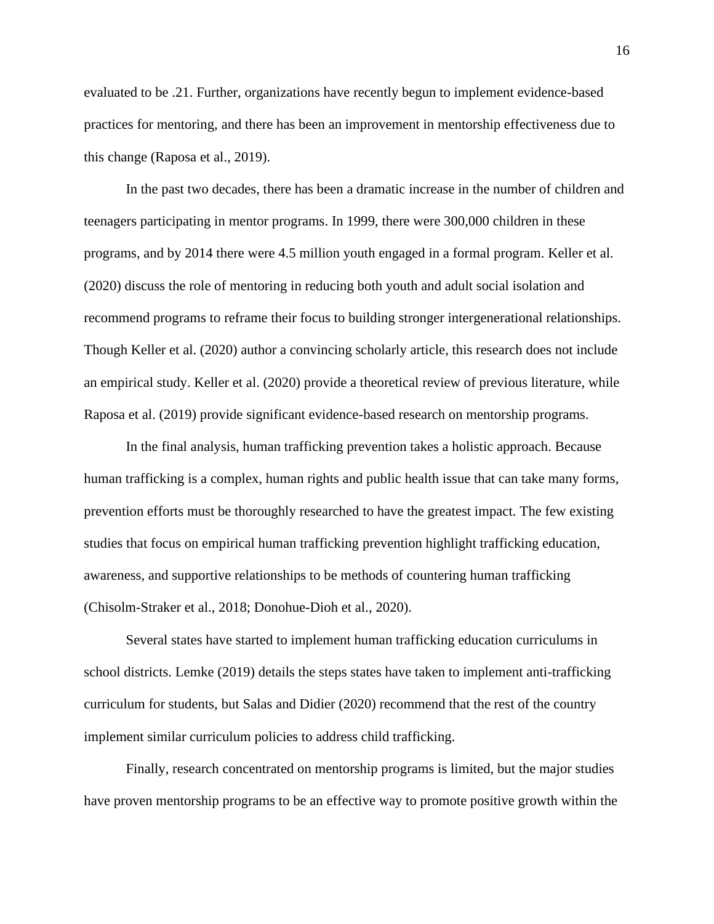evaluated to be .21. Further, organizations have recently begun to implement evidence-based practices for mentoring, and there has been an improvement in mentorship effectiveness due to this change (Raposa et al., 2019).

In the past two decades, there has been a dramatic increase in the number of children and teenagers participating in mentor programs. In 1999, there were 300,000 children in these programs, and by 2014 there were 4.5 million youth engaged in a formal program. Keller et al. (2020) discuss the role of mentoring in reducing both youth and adult social isolation and recommend programs to reframe their focus to building stronger intergenerational relationships. Though Keller et al. (2020) author a convincing scholarly article, this research does not include an empirical study. Keller et al. (2020) provide a theoretical review of previous literature, while Raposa et al. (2019) provide significant evidence-based research on mentorship programs.

In the final analysis, human trafficking prevention takes a holistic approach. Because human trafficking is a complex, human rights and public health issue that can take many forms, prevention efforts must be thoroughly researched to have the greatest impact. The few existing studies that focus on empirical human trafficking prevention highlight trafficking education, awareness, and supportive relationships to be methods of countering human trafficking (Chisolm-Straker et al., 2018; Donohue-Dioh et al., 2020).

Several states have started to implement human trafficking education curriculums in school districts. Lemke (2019) details the steps states have taken to implement anti-trafficking curriculum for students, but Salas and Didier (2020) recommend that the rest of the country implement similar curriculum policies to address child trafficking.

Finally, research concentrated on mentorship programs is limited, but the major studies have proven mentorship programs to be an effective way to promote positive growth within the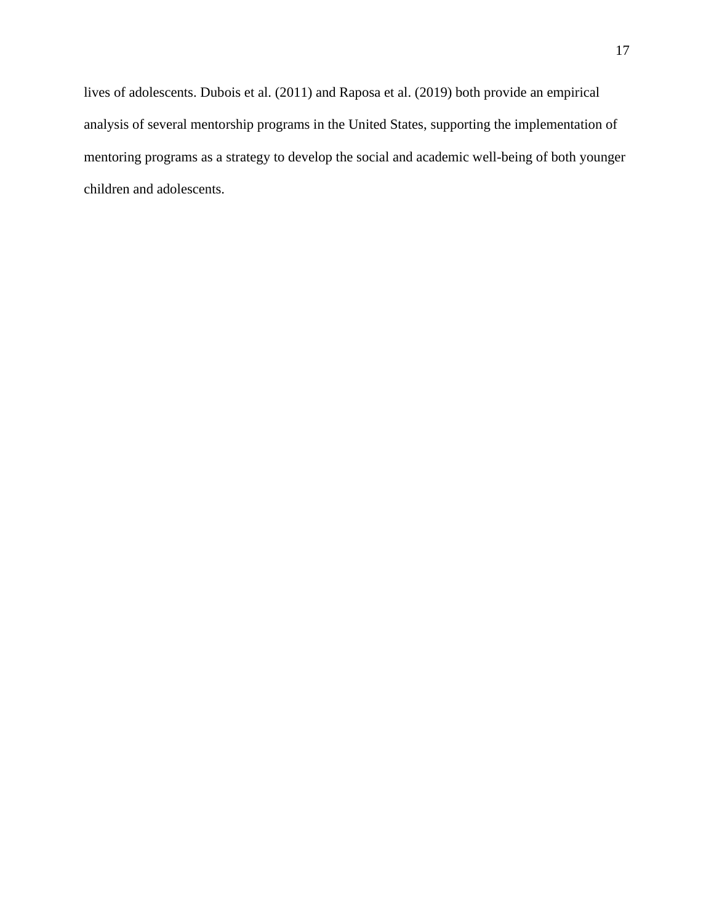lives of adolescents. Dubois et al. (2011) and Raposa et al. (2019) both provide an empirical analysis of several mentorship programs in the United States, supporting the implementation of mentoring programs as a strategy to develop the social and academic well-being of both younger children and adolescents.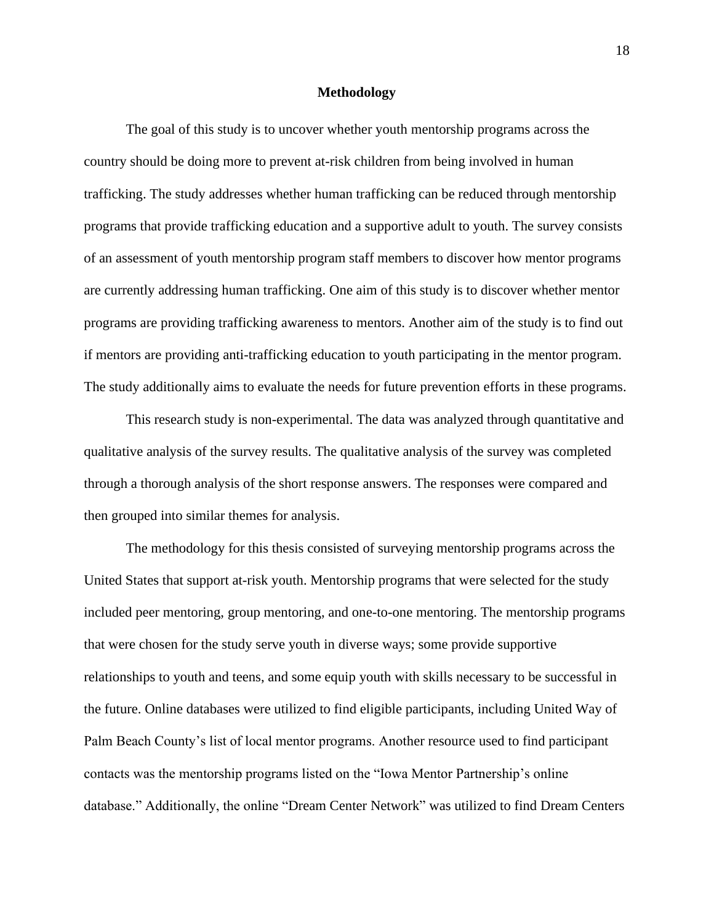#### **Methodology**

The goal of this study is to uncover whether youth mentorship programs across the country should be doing more to prevent at-risk children from being involved in human trafficking. The study addresses whether human trafficking can be reduced through mentorship programs that provide trafficking education and a supportive adult to youth. The survey consists of an assessment of youth mentorship program staff members to discover how mentor programs are currently addressing human trafficking. One aim of this study is to discover whether mentor programs are providing trafficking awareness to mentors. Another aim of the study is to find out if mentors are providing anti-trafficking education to youth participating in the mentor program. The study additionally aims to evaluate the needs for future prevention efforts in these programs.

This research study is non-experimental. The data was analyzed through quantitative and qualitative analysis of the survey results. The qualitative analysis of the survey was completed through a thorough analysis of the short response answers. The responses were compared and then grouped into similar themes for analysis.

The methodology for this thesis consisted of surveying mentorship programs across the United States that support at-risk youth. Mentorship programs that were selected for the study included peer mentoring, group mentoring, and one-to-one mentoring. The mentorship programs that were chosen for the study serve youth in diverse ways; some provide supportive relationships to youth and teens, and some equip youth with skills necessary to be successful in the future. Online databases were utilized to find eligible participants, including United Way of Palm Beach County's list of local mentor programs. Another resource used to find participant contacts was the mentorship programs listed on the "Iowa Mentor Partnership's online database." Additionally, the online "Dream Center Network" was utilized to find Dream Centers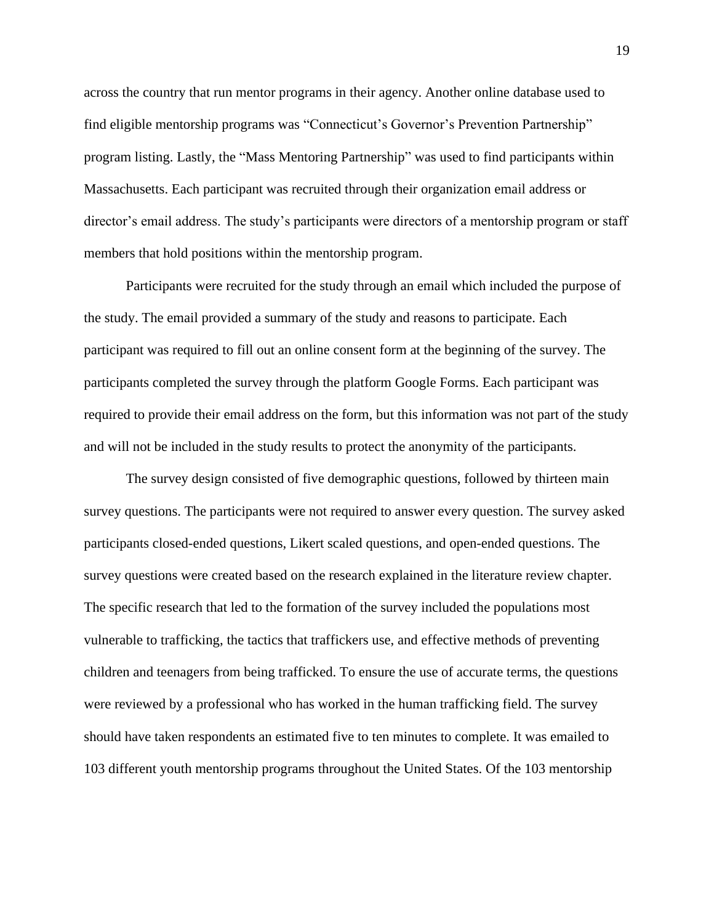across the country that run mentor programs in their agency. Another online database used to find eligible mentorship programs was "Connecticut's Governor's Prevention Partnership" program listing. Lastly, the "Mass Mentoring Partnership" was used to find participants within Massachusetts. Each participant was recruited through their organization email address or director's email address. The study's participants were directors of a mentorship program or staff members that hold positions within the mentorship program.

Participants were recruited for the study through an email which included the purpose of the study. The email provided a summary of the study and reasons to participate. Each participant was required to fill out an online consent form at the beginning of the survey. The participants completed the survey through the platform Google Forms. Each participant was required to provide their email address on the form, but this information was not part of the study and will not be included in the study results to protect the anonymity of the participants.

The survey design consisted of five demographic questions, followed by thirteen main survey questions. The participants were not required to answer every question. The survey asked participants closed-ended questions, Likert scaled questions, and open-ended questions. The survey questions were created based on the research explained in the literature review chapter. The specific research that led to the formation of the survey included the populations most vulnerable to trafficking, the tactics that traffickers use, and effective methods of preventing children and teenagers from being trafficked. To ensure the use of accurate terms, the questions were reviewed by a professional who has worked in the human trafficking field. The survey should have taken respondents an estimated five to ten minutes to complete. It was emailed to 103 different youth mentorship programs throughout the United States. Of the 103 mentorship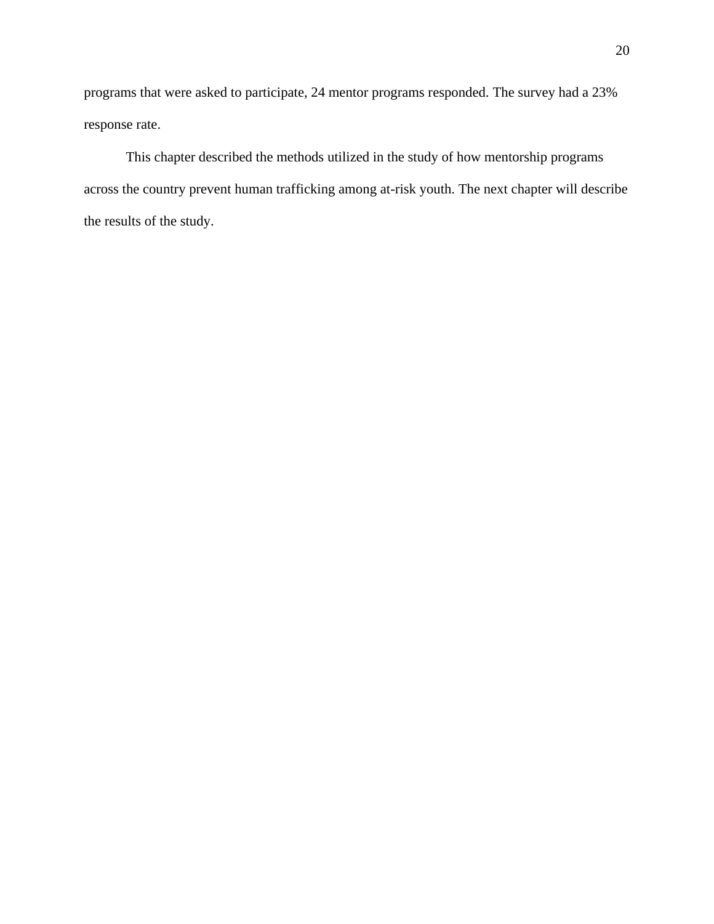programs that were asked to participate, 24 mentor programs responded. The survey had a 23% response rate.

This chapter described the methods utilized in the study of how mentorship programs across the country prevent human trafficking among at-risk youth. The next chapter will describe the results of the study.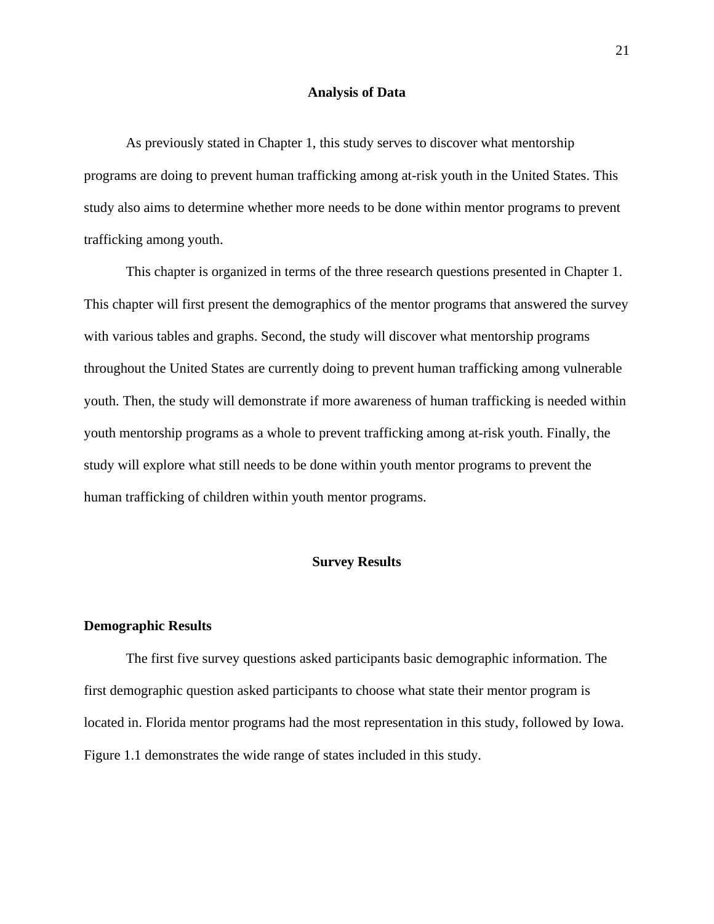#### **Analysis of Data**

As previously stated in Chapter 1, this study serves to discover what mentorship programs are doing to prevent human trafficking among at-risk youth in the United States. This study also aims to determine whether more needs to be done within mentor programs to prevent trafficking among youth.

This chapter is organized in terms of the three research questions presented in Chapter 1. This chapter will first present the demographics of the mentor programs that answered the survey with various tables and graphs. Second, the study will discover what mentorship programs throughout the United States are currently doing to prevent human trafficking among vulnerable youth. Then, the study will demonstrate if more awareness of human trafficking is needed within youth mentorship programs as a whole to prevent trafficking among at-risk youth. Finally, the study will explore what still needs to be done within youth mentor programs to prevent the human trafficking of children within youth mentor programs.

#### **Survey Results**

#### **Demographic Results**

The first five survey questions asked participants basic demographic information. The first demographic question asked participants to choose what state their mentor program is located in. Florida mentor programs had the most representation in this study, followed by Iowa. Figure 1.1 demonstrates the wide range of states included in this study.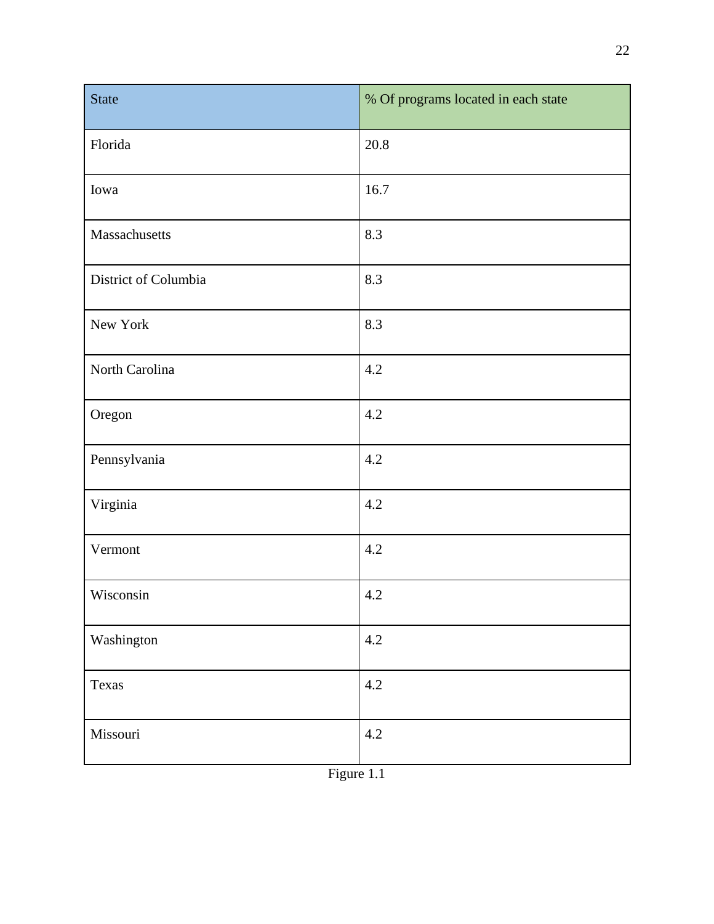| <b>State</b>         | % Of programs located in each state |
|----------------------|-------------------------------------|
| Florida              | 20.8                                |
| Iowa                 | 16.7                                |
| Massachusetts        | 8.3                                 |
| District of Columbia | 8.3                                 |
| New York             | 8.3                                 |
| North Carolina       | 4.2                                 |
| Oregon               | 4.2                                 |
| Pennsylvania         | 4.2                                 |
| Virginia             | 4.2                                 |
| Vermont              | 4.2                                 |
| Wisconsin            | 4.2                                 |
| Washington           | 4.2                                 |
| Texas                | 4.2                                 |
| Missouri             | 4.2                                 |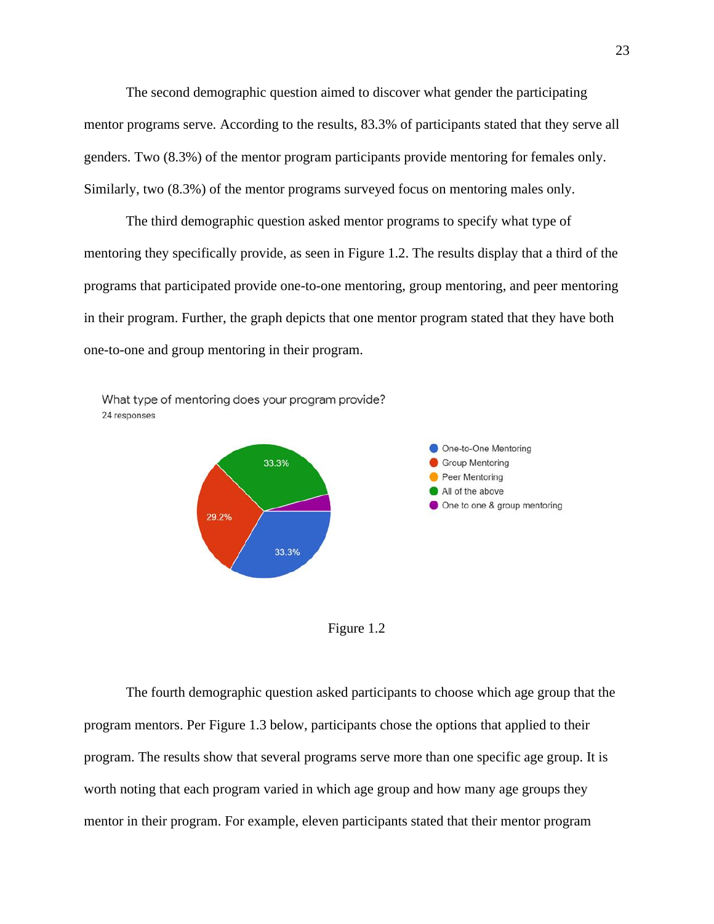The second demographic question aimed to discover what gender the participating mentor programs serve. According to the results, 83.3% of participants stated that they serve all genders. Two (8.3%) of the mentor program participants provide mentoring for females only. Similarly, two (8.3%) of the mentor programs surveyed focus on mentoring males only.

The third demographic question asked mentor programs to specify what type of mentoring they specifically provide, as seen in Figure 1.2. The results display that a third of the programs that participated provide one-to-one mentoring, group mentoring, and peer mentoring in their program. Further, the graph depicts that one mentor program stated that they have both one-to-one and group mentoring in their program.





Figure 1.2

The fourth demographic question asked participants to choose which age group that the program mentors. Per Figure 1.3 below, participants chose the options that applied to their program. The results show that several programs serve more than one specific age group. It is worth noting that each program varied in which age group and how many age groups they mentor in their program. For example, eleven participants stated that their mentor program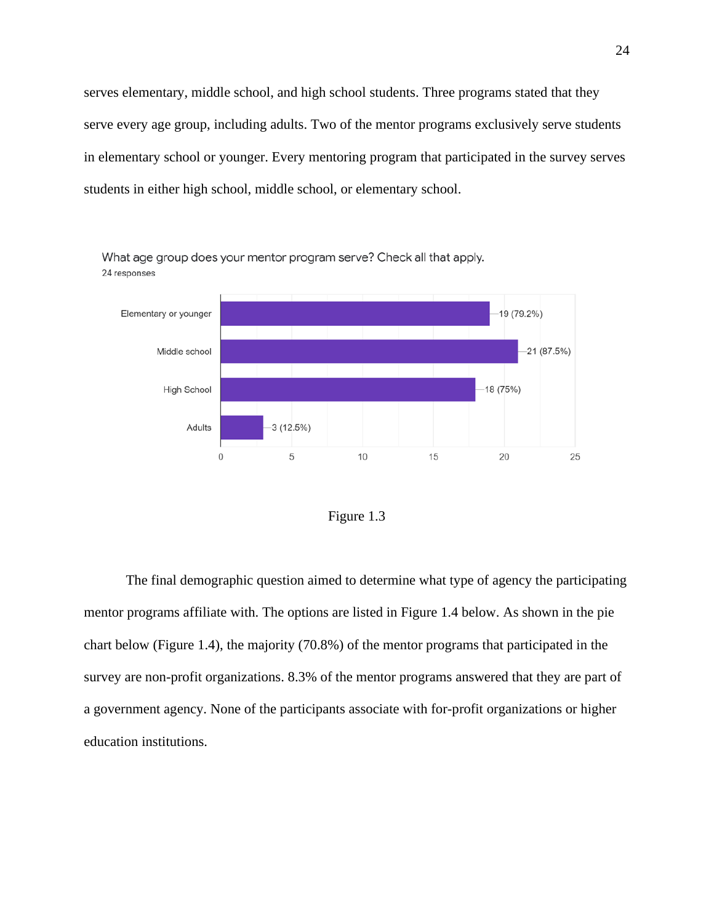serves elementary, middle school, and high school students. Three programs stated that they serve every age group, including adults. Two of the mentor programs exclusively serve students in elementary school or younger. Every mentoring program that participated in the survey serves students in either high school, middle school, or elementary school.



What age group does your mentor program serve? Check all that apply. 24 responses



The final demographic question aimed to determine what type of agency the participating mentor programs affiliate with. The options are listed in Figure 1.4 below. As shown in the pie chart below (Figure 1.4), the majority (70.8%) of the mentor programs that participated in the survey are non-profit organizations. 8.3% of the mentor programs answered that they are part of a government agency. None of the participants associate with for-profit organizations or higher education institutions.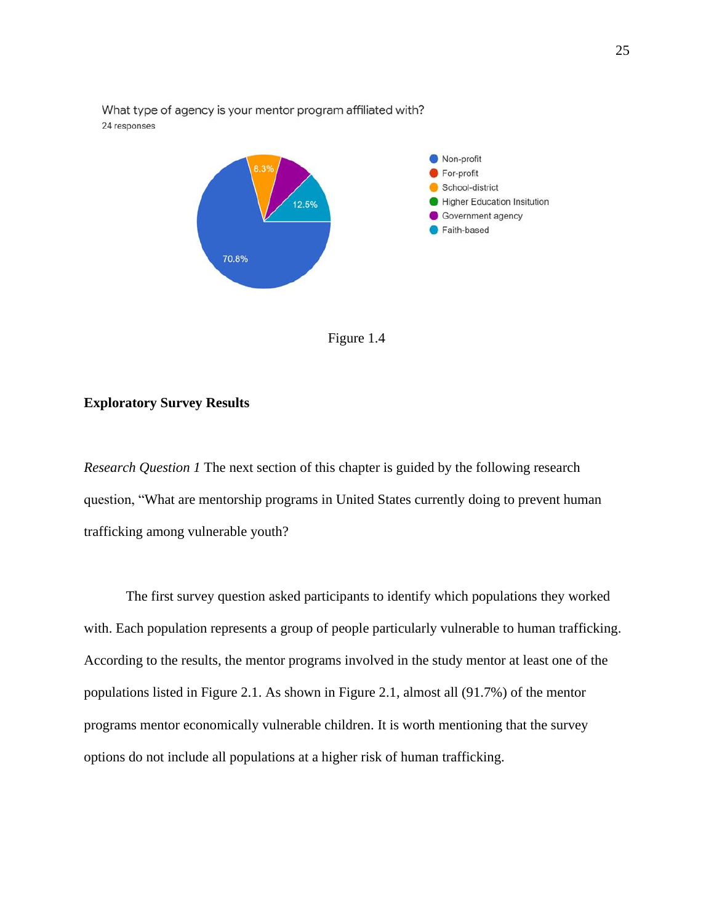

What type of agency is your mentor program affiliated with?



#### **Exploratory Survey Results**

*Research Question 1* The next section of this chapter is guided by the following research question, "What are mentorship programs in United States currently doing to prevent human trafficking among vulnerable youth?

The first survey question asked participants to identify which populations they worked with. Each population represents a group of people particularly vulnerable to human trafficking. According to the results, the mentor programs involved in the study mentor at least one of the populations listed in Figure 2.1. As shown in Figure 2.1, almost all (91.7%) of the mentor programs mentor economically vulnerable children. It is worth mentioning that the survey options do not include all populations at a higher risk of human trafficking.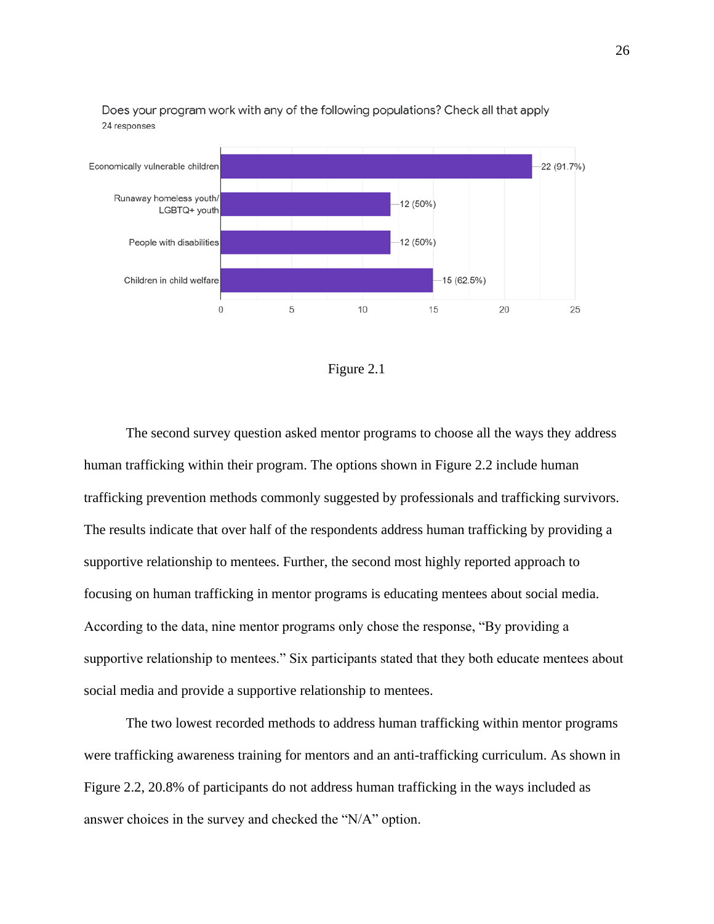

Does your program work with any of the following populations? Check all that apply 24 responses



The second survey question asked mentor programs to choose all the ways they address human trafficking within their program. The options shown in Figure 2.2 include human trafficking prevention methods commonly suggested by professionals and trafficking survivors. The results indicate that over half of the respondents address human trafficking by providing a supportive relationship to mentees. Further, the second most highly reported approach to focusing on human trafficking in mentor programs is educating mentees about social media. According to the data, nine mentor programs only chose the response, "By providing a supportive relationship to mentees." Six participants stated that they both educate mentees about social media and provide a supportive relationship to mentees.

The two lowest recorded methods to address human trafficking within mentor programs were trafficking awareness training for mentors and an anti-trafficking curriculum. As shown in Figure 2.2, 20.8% of participants do not address human trafficking in the ways included as answer choices in the survey and checked the "N/A" option.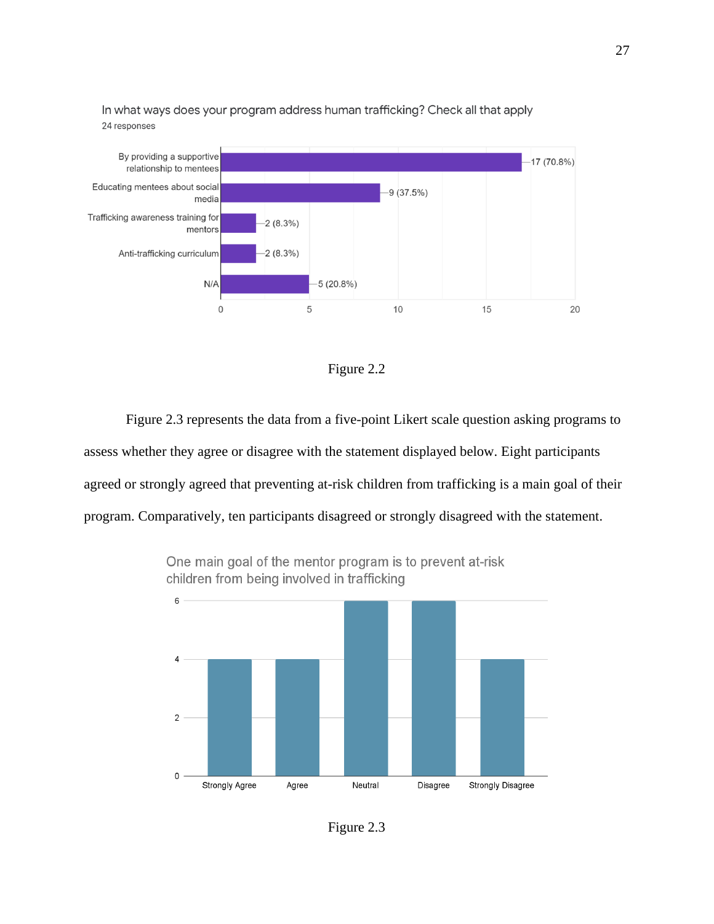

In what ways does your program address human trafficking? Check all that apply 24 responses



Figure 2.3 represents the data from a five-point Likert scale question asking programs to assess whether they agree or disagree with the statement displayed below. Eight participants agreed or strongly agreed that preventing at-risk children from trafficking is a main goal of their program. Comparatively, ten participants disagreed or strongly disagreed with the statement.



One main goal of the mentor program is to prevent at-risk children from being involved in trafficking

Figure 2.3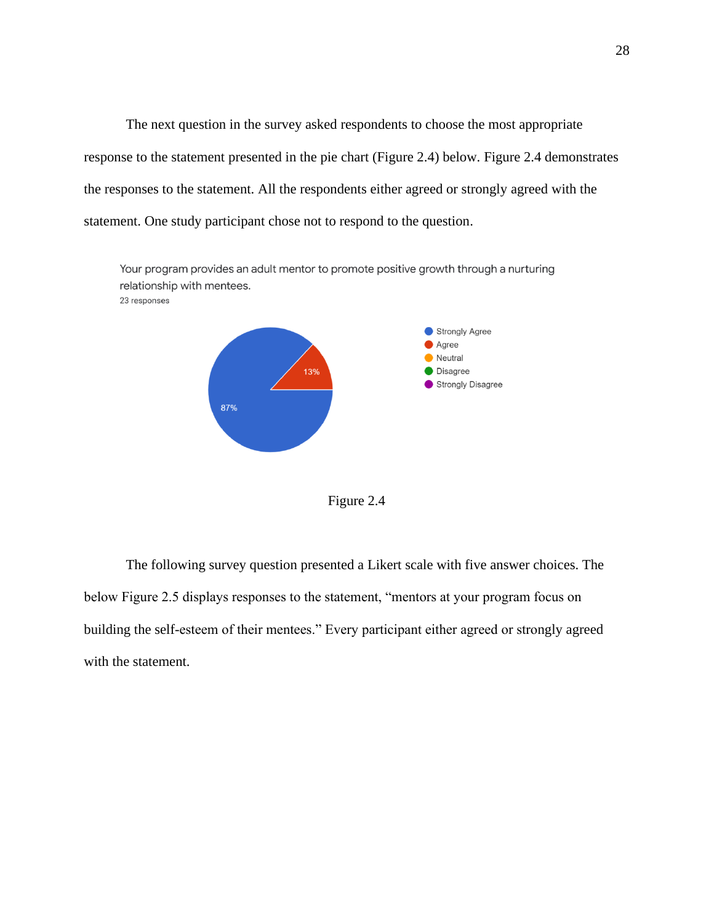The next question in the survey asked respondents to choose the most appropriate response to the statement presented in the pie chart (Figure 2.4) below. Figure 2.4 demonstrates the responses to the statement. All the respondents either agreed or strongly agreed with the statement. One study participant chose not to respond to the question.



Figure 2.4

The following survey question presented a Likert scale with five answer choices. The below Figure 2.5 displays responses to the statement, "mentors at your program focus on building the self-esteem of their mentees." Every participant either agreed or strongly agreed with the statement.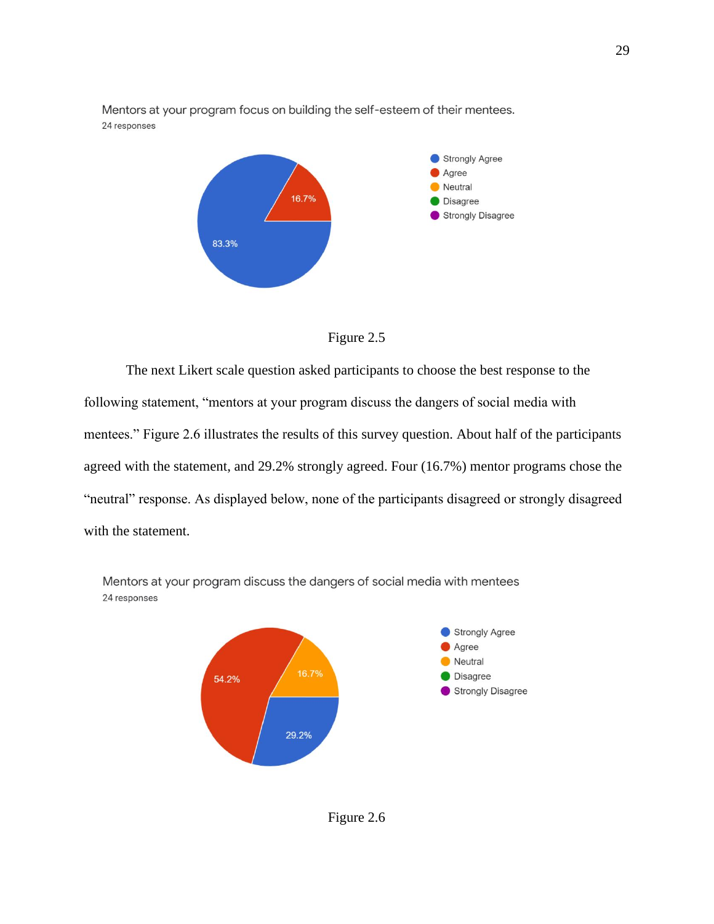

Mentors at your program focus on building the self-esteem of their mentees. 24 responses



The next Likert scale question asked participants to choose the best response to the following statement, "mentors at your program discuss the dangers of social media with mentees." Figure 2.6 illustrates the results of this survey question. About half of the participants agreed with the statement, and 29.2% strongly agreed. Four (16.7%) mentor programs chose the "neutral" response. As displayed below, none of the participants disagreed or strongly disagreed with the statement.



Mentors at your program discuss the dangers of social media with mentees 24 responses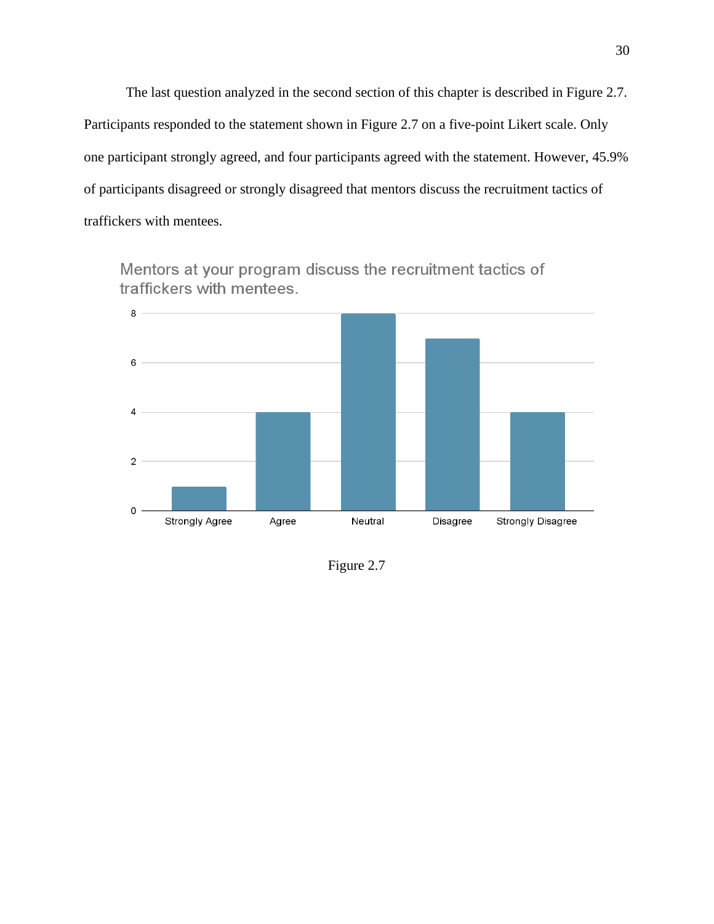The last question analyzed in the second section of this chapter is described in Figure 2.7. Participants responded to the statement shown in Figure 2.7 on a five-point Likert scale. Only one participant strongly agreed, and four participants agreed with the statement. However, 45.9% of participants disagreed or strongly disagreed that mentors discuss the recruitment tactics of traffickers with mentees.



Mentors at your program discuss the recruitment tactics of traffickers with mentees.

Figure 2.7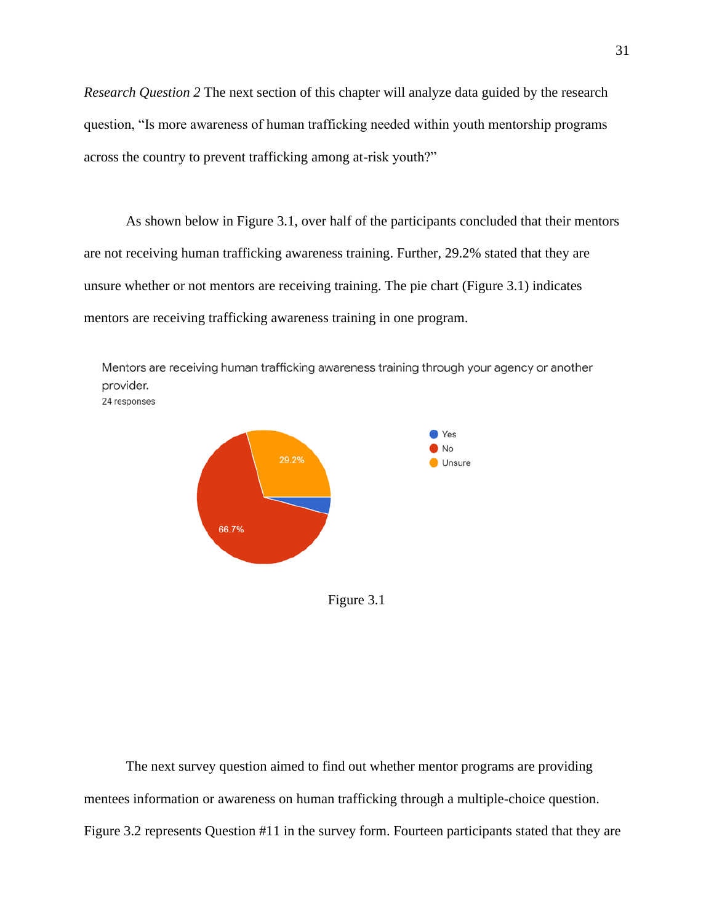*Research Question 2* The next section of this chapter will analyze data guided by the research question, "Is more awareness of human trafficking needed within youth mentorship programs across the country to prevent trafficking among at-risk youth?"

As shown below in Figure 3.1, over half of the participants concluded that their mentors are not receiving human trafficking awareness training. Further, 29.2% stated that they are unsure whether or not mentors are receiving training. The pie chart (Figure 3.1) indicates mentors are receiving trafficking awareness training in one program.

Mentors are receiving human trafficking awareness training through your agency or another provider. 24 responses



Figure 3.1

The next survey question aimed to find out whether mentor programs are providing mentees information or awareness on human trafficking through a multiple-choice question. Figure 3.2 represents Question #11 in the survey form. Fourteen participants stated that they are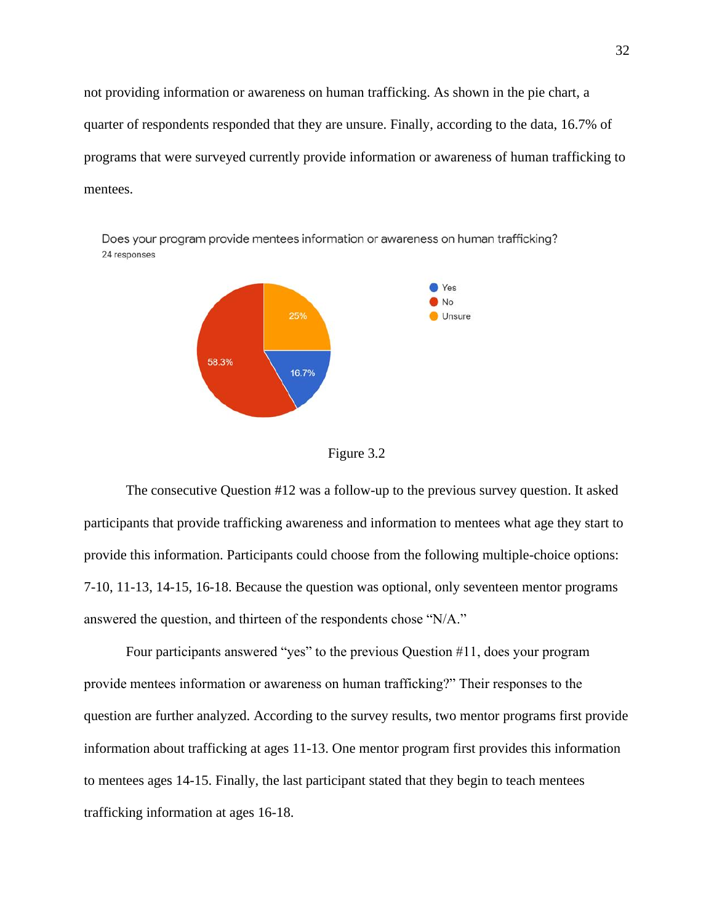not providing information or awareness on human trafficking. As shown in the pie chart, a quarter of respondents responded that they are unsure. Finally, according to the data, 16.7% of programs that were surveyed currently provide information or awareness of human trafficking to mentees.



Figure 3.2

The consecutive Question #12 was a follow-up to the previous survey question. It asked participants that provide trafficking awareness and information to mentees what age they start to provide this information. Participants could choose from the following multiple-choice options: 7-10, 11-13, 14-15, 16-18. Because the question was optional, only seventeen mentor programs answered the question, and thirteen of the respondents chose "N/A."

Four participants answered "yes" to the previous Question #11, does your program provide mentees information or awareness on human trafficking?" Their responses to the question are further analyzed. According to the survey results, two mentor programs first provide information about trafficking at ages 11-13. One mentor program first provides this information to mentees ages 14-15. Finally, the last participant stated that they begin to teach mentees trafficking information at ages 16-18.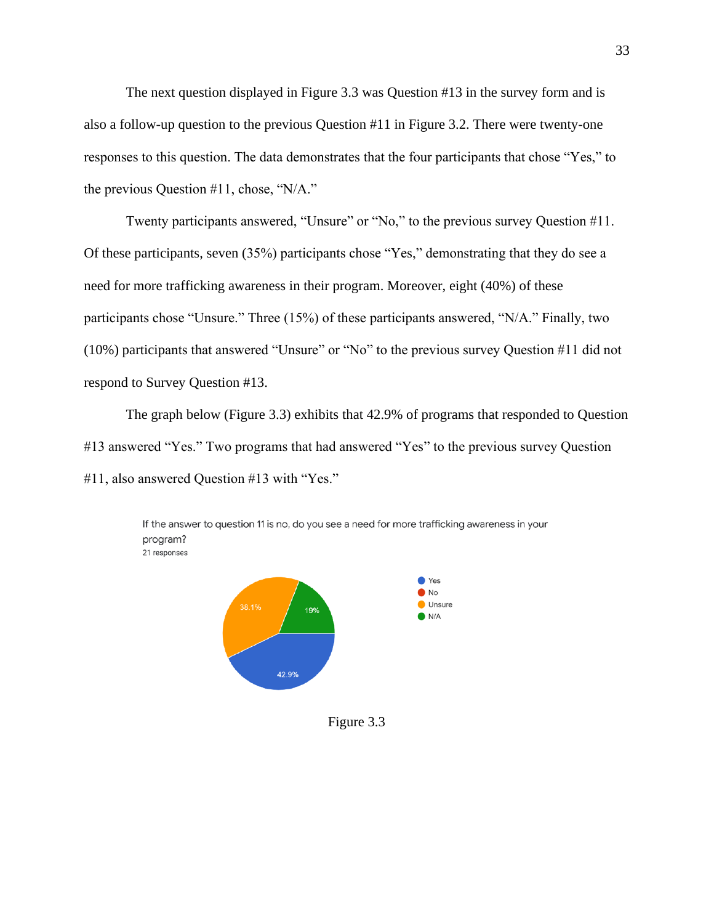The next question displayed in Figure 3.3 was Question #13 in the survey form and is also a follow-up question to the previous Question #11 in Figure 3.2. There were twenty-one responses to this question. The data demonstrates that the four participants that chose "Yes," to the previous Question #11, chose, "N/A."

Twenty participants answered, "Unsure" or "No," to the previous survey Question #11. Of these participants, seven (35%) participants chose "Yes," demonstrating that they do see a need for more trafficking awareness in their program. Moreover, eight (40%) of these participants chose "Unsure." Three (15%) of these participants answered, "N/A." Finally, two (10%) participants that answered "Unsure" or "No" to the previous survey Question #11 did not respond to Survey Question #13.

The graph below (Figure 3.3) exhibits that 42.9% of programs that responded to Question #13 answered "Yes." Two programs that had answered "Yes" to the previous survey Question #11, also answered Question #13 with "Yes."



If the answer to question 11 is no, do you see a need for more trafficking awareness in your program? 21 responses

Figure 3.3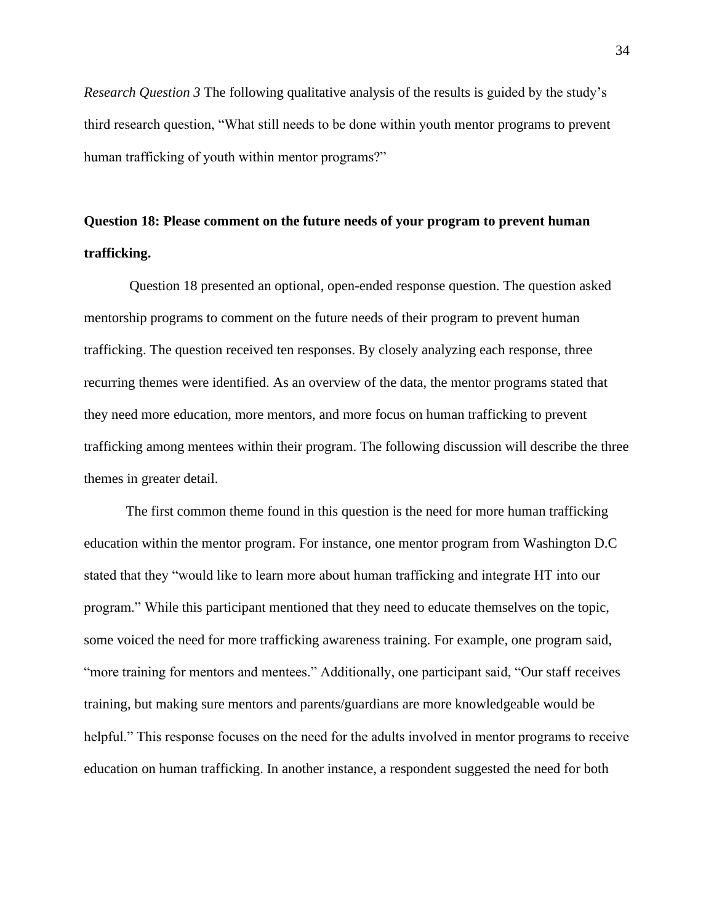*Research Question 3* The following qualitative analysis of the results is guided by the study's third research question, "What still needs to be done within youth mentor programs to prevent human trafficking of youth within mentor programs?"

# **Question 18: Please comment on the future needs of your program to prevent human trafficking.**

Question 18 presented an optional, open-ended response question. The question asked mentorship programs to comment on the future needs of their program to prevent human trafficking. The question received ten responses. By closely analyzing each response, three recurring themes were identified. As an overview of the data, the mentor programs stated that they need more education, more mentors, and more focus on human trafficking to prevent trafficking among mentees within their program. The following discussion will describe the three themes in greater detail.

The first common theme found in this question is the need for more human trafficking education within the mentor program. For instance, one mentor program from Washington D.C stated that they "would like to learn more about human trafficking and integrate HT into our program." While this participant mentioned that they need to educate themselves on the topic, some voiced the need for more trafficking awareness training. For example, one program said, "more training for mentors and mentees." Additionally, one participant said, "Our staff receives training, but making sure mentors and parents/guardians are more knowledgeable would be helpful." This response focuses on the need for the adults involved in mentor programs to receive education on human trafficking. In another instance, a respondent suggested the need for both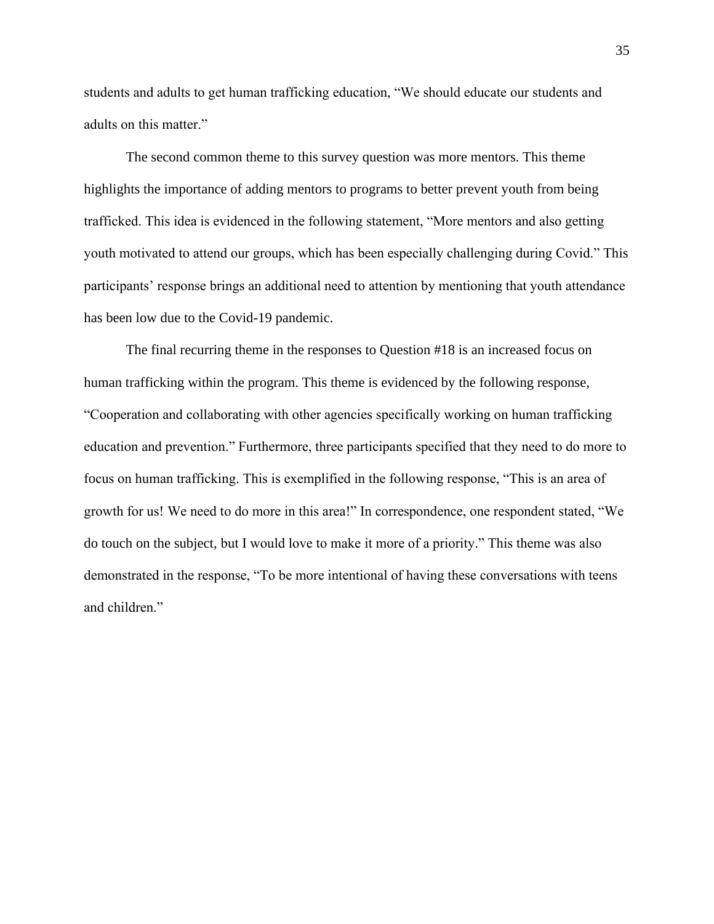students and adults to get human trafficking education, "We should educate our students and adults on this matter."

The second common theme to this survey question was more mentors. This theme highlights the importance of adding mentors to programs to better prevent youth from being trafficked. This idea is evidenced in the following statement, "More mentors and also getting youth motivated to attend our groups, which has been especially challenging during Covid." This participants' response brings an additional need to attention by mentioning that youth attendance has been low due to the Covid-19 pandemic.

The final recurring theme in the responses to Question #18 is an increased focus on human trafficking within the program. This theme is evidenced by the following response, "Cooperation and collaborating with other agencies specifically working on human trafficking education and prevention." Furthermore, three participants specified that they need to do more to focus on human trafficking. This is exemplified in the following response, "This is an area of growth for us! We need to do more in this area!" In correspondence, one respondent stated, "We do touch on the subject, but I would love to make it more of a priority." This theme was also demonstrated in the response, "To be more intentional of having these conversations with teens and children."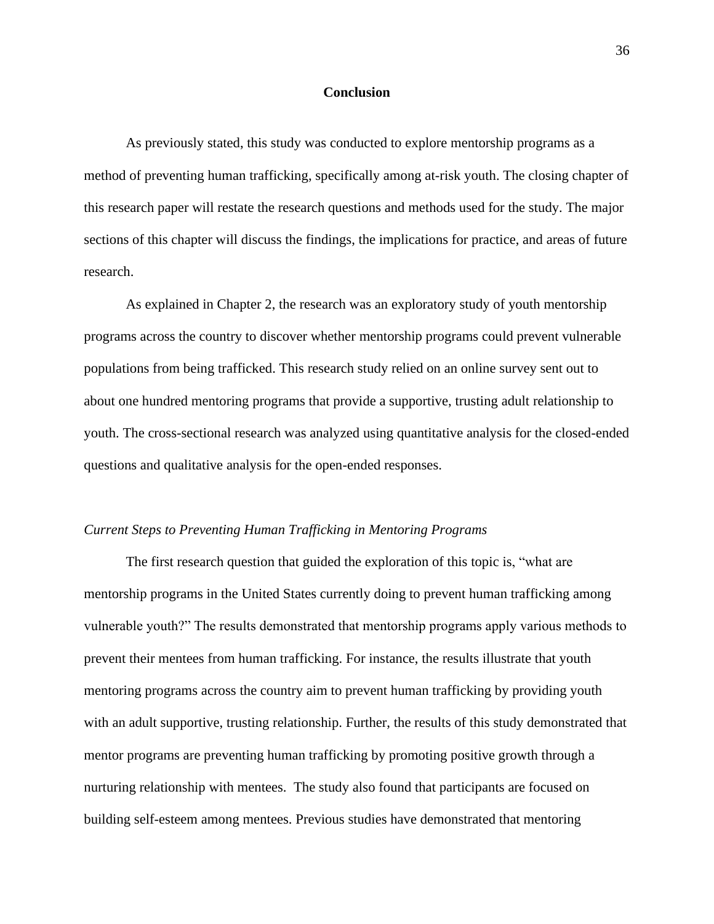#### **Conclusion**

As previously stated, this study was conducted to explore mentorship programs as a method of preventing human trafficking, specifically among at-risk youth. The closing chapter of this research paper will restate the research questions and methods used for the study. The major sections of this chapter will discuss the findings, the implications for practice, and areas of future research.

As explained in Chapter 2, the research was an exploratory study of youth mentorship programs across the country to discover whether mentorship programs could prevent vulnerable populations from being trafficked. This research study relied on an online survey sent out to about one hundred mentoring programs that provide a supportive, trusting adult relationship to youth. The cross-sectional research was analyzed using quantitative analysis for the closed-ended questions and qualitative analysis for the open-ended responses.

#### *Current Steps to Preventing Human Trafficking in Mentoring Programs*

The first research question that guided the exploration of this topic is, "what are mentorship programs in the United States currently doing to prevent human trafficking among vulnerable youth?" The results demonstrated that mentorship programs apply various methods to prevent their mentees from human trafficking. For instance, the results illustrate that youth mentoring programs across the country aim to prevent human trafficking by providing youth with an adult supportive, trusting relationship. Further, the results of this study demonstrated that mentor programs are preventing human trafficking by promoting positive growth through a nurturing relationship with mentees. The study also found that participants are focused on building self-esteem among mentees. Previous studies have demonstrated that mentoring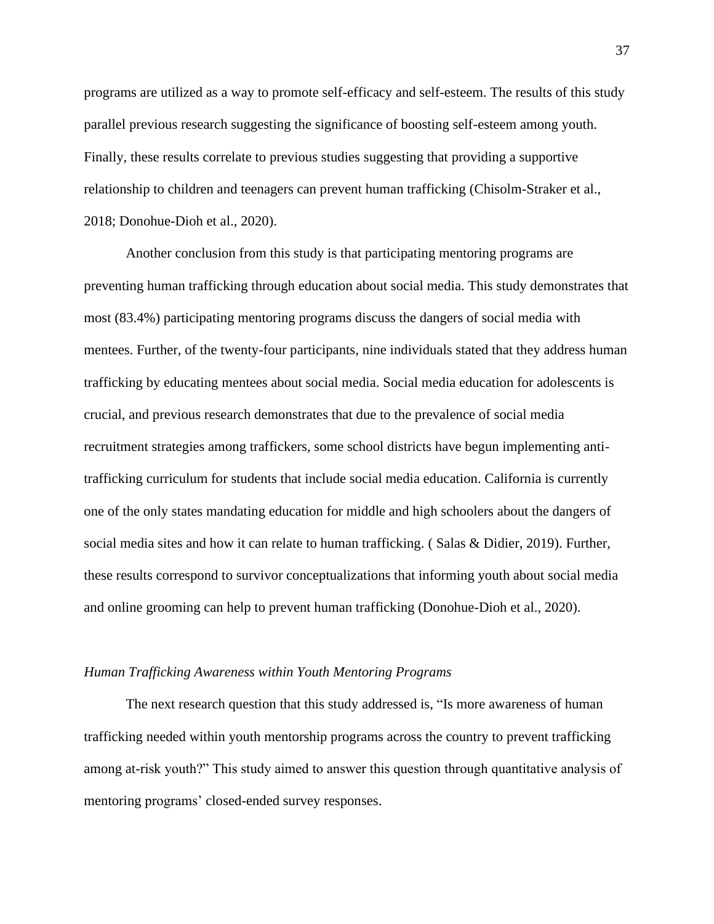programs are utilized as a way to promote self-efficacy and self-esteem. The results of this study parallel previous research suggesting the significance of boosting self-esteem among youth. Finally, these results correlate to previous studies suggesting that providing a supportive relationship to children and teenagers can prevent human trafficking (Chisolm-Straker et al., 2018; Donohue-Dioh et al., 2020).

Another conclusion from this study is that participating mentoring programs are preventing human trafficking through education about social media. This study demonstrates that most (83.4%) participating mentoring programs discuss the dangers of social media with mentees. Further, of the twenty-four participants, nine individuals stated that they address human trafficking by educating mentees about social media. Social media education for adolescents is crucial, and previous research demonstrates that due to the prevalence of social media recruitment strategies among traffickers, some school districts have begun implementing antitrafficking curriculum for students that include social media education. California is currently one of the only states mandating education for middle and high schoolers about the dangers of social media sites and how it can relate to human trafficking. ( Salas & Didier, 2019). Further, these results correspond to survivor conceptualizations that informing youth about social media and online grooming can help to prevent human trafficking (Donohue-Dioh et al., 2020).

#### *Human Trafficking Awareness within Youth Mentoring Programs*

The next research question that this study addressed is, "Is more awareness of human trafficking needed within youth mentorship programs across the country to prevent trafficking among at-risk youth?" This study aimed to answer this question through quantitative analysis of mentoring programs' closed-ended survey responses.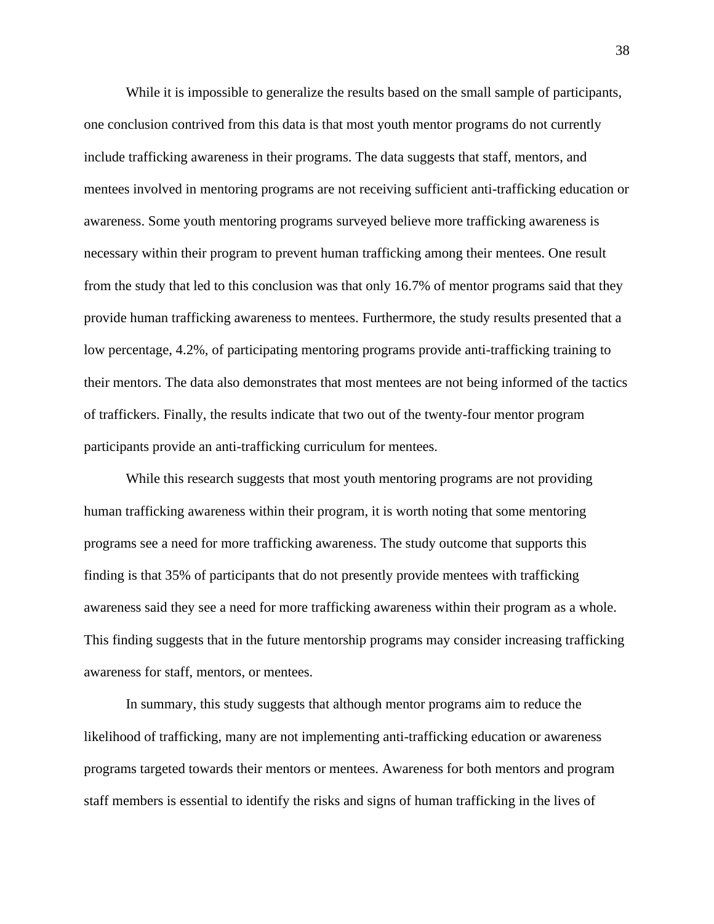While it is impossible to generalize the results based on the small sample of participants, one conclusion contrived from this data is that most youth mentor programs do not currently include trafficking awareness in their programs. The data suggests that staff, mentors, and mentees involved in mentoring programs are not receiving sufficient anti-trafficking education or awareness. Some youth mentoring programs surveyed believe more trafficking awareness is necessary within their program to prevent human trafficking among their mentees. One result from the study that led to this conclusion was that only 16.7% of mentor programs said that they provide human trafficking awareness to mentees. Furthermore, the study results presented that a low percentage, 4.2%, of participating mentoring programs provide anti-trafficking training to their mentors. The data also demonstrates that most mentees are not being informed of the tactics of traffickers. Finally, the results indicate that two out of the twenty-four mentor program participants provide an anti-trafficking curriculum for mentees.

While this research suggests that most youth mentoring programs are not providing human trafficking awareness within their program, it is worth noting that some mentoring programs see a need for more trafficking awareness. The study outcome that supports this finding is that 35% of participants that do not presently provide mentees with trafficking awareness said they see a need for more trafficking awareness within their program as a whole. This finding suggests that in the future mentorship programs may consider increasing trafficking awareness for staff, mentors, or mentees.

In summary, this study suggests that although mentor programs aim to reduce the likelihood of trafficking, many are not implementing anti-trafficking education or awareness programs targeted towards their mentors or mentees. Awareness for both mentors and program staff members is essential to identify the risks and signs of human trafficking in the lives of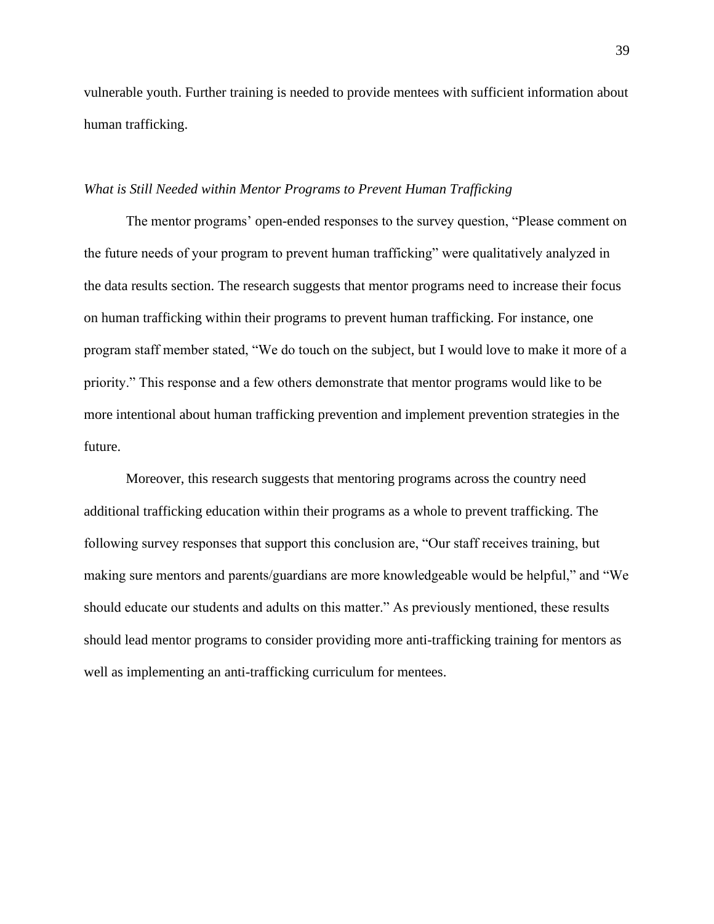vulnerable youth. Further training is needed to provide mentees with sufficient information about human trafficking.

#### *What is Still Needed within Mentor Programs to Prevent Human Trafficking*

The mentor programs' open-ended responses to the survey question, "Please comment on the future needs of your program to prevent human trafficking" were qualitatively analyzed in the data results section. The research suggests that mentor programs need to increase their focus on human trafficking within their programs to prevent human trafficking. For instance, one program staff member stated, "We do touch on the subject, but I would love to make it more of a priority." This response and a few others demonstrate that mentor programs would like to be more intentional about human trafficking prevention and implement prevention strategies in the future.

Moreover, this research suggests that mentoring programs across the country need additional trafficking education within their programs as a whole to prevent trafficking. The following survey responses that support this conclusion are, "Our staff receives training, but making sure mentors and parents/guardians are more knowledgeable would be helpful," and "We should educate our students and adults on this matter." As previously mentioned, these results should lead mentor programs to consider providing more anti-trafficking training for mentors as well as implementing an anti-trafficking curriculum for mentees.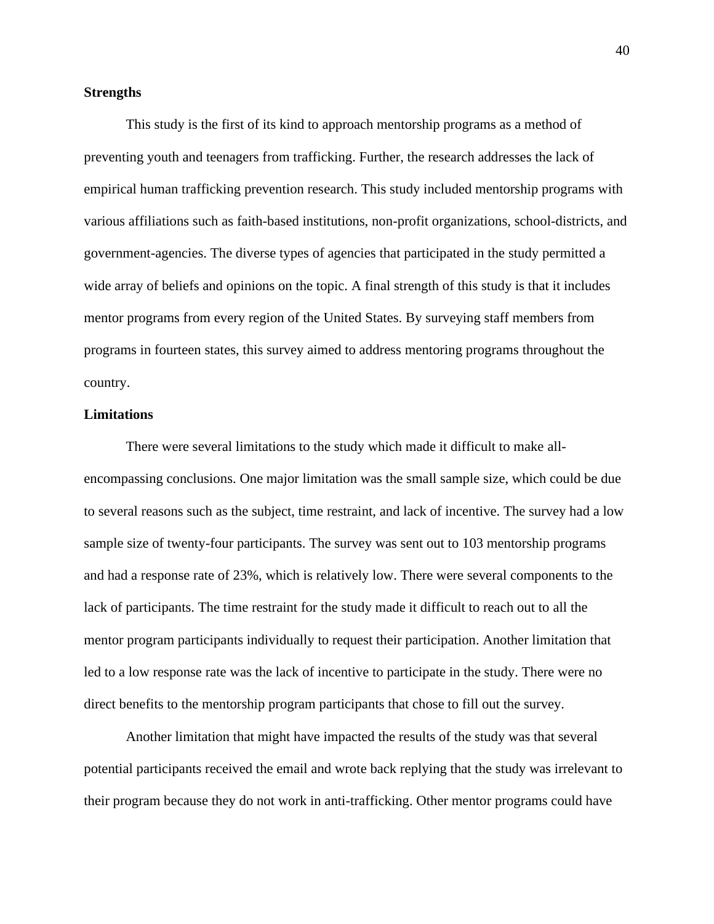#### **Strengths**

This study is the first of its kind to approach mentorship programs as a method of preventing youth and teenagers from trafficking. Further, the research addresses the lack of empirical human trafficking prevention research. This study included mentorship programs with various affiliations such as faith-based institutions, non-profit organizations, school-districts, and government-agencies. The diverse types of agencies that participated in the study permitted a wide array of beliefs and opinions on the topic. A final strength of this study is that it includes mentor programs from every region of the United States. By surveying staff members from programs in fourteen states, this survey aimed to address mentoring programs throughout the country.

#### **Limitations**

There were several limitations to the study which made it difficult to make allencompassing conclusions. One major limitation was the small sample size, which could be due to several reasons such as the subject, time restraint, and lack of incentive. The survey had a low sample size of twenty-four participants. The survey was sent out to 103 mentorship programs and had a response rate of 23%, which is relatively low. There were several components to the lack of participants. The time restraint for the study made it difficult to reach out to all the mentor program participants individually to request their participation. Another limitation that led to a low response rate was the lack of incentive to participate in the study. There were no direct benefits to the mentorship program participants that chose to fill out the survey.

Another limitation that might have impacted the results of the study was that several potential participants received the email and wrote back replying that the study was irrelevant to their program because they do not work in anti-trafficking. Other mentor programs could have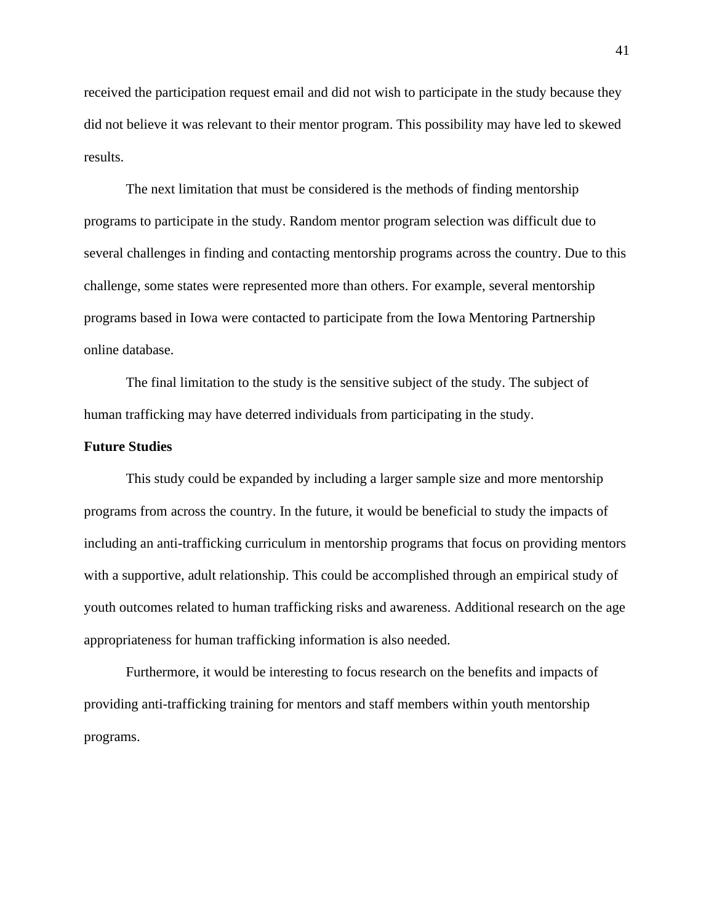received the participation request email and did not wish to participate in the study because they did not believe it was relevant to their mentor program. This possibility may have led to skewed results.

The next limitation that must be considered is the methods of finding mentorship programs to participate in the study. Random mentor program selection was difficult due to several challenges in finding and contacting mentorship programs across the country. Due to this challenge, some states were represented more than others. For example, several mentorship programs based in Iowa were contacted to participate from the Iowa Mentoring Partnership online database.

The final limitation to the study is the sensitive subject of the study. The subject of human trafficking may have deterred individuals from participating in the study.

#### **Future Studies**

This study could be expanded by including a larger sample size and more mentorship programs from across the country. In the future, it would be beneficial to study the impacts of including an anti-trafficking curriculum in mentorship programs that focus on providing mentors with a supportive, adult relationship. This could be accomplished through an empirical study of youth outcomes related to human trafficking risks and awareness. Additional research on the age appropriateness for human trafficking information is also needed.

Furthermore, it would be interesting to focus research on the benefits and impacts of providing anti-trafficking training for mentors and staff members within youth mentorship programs.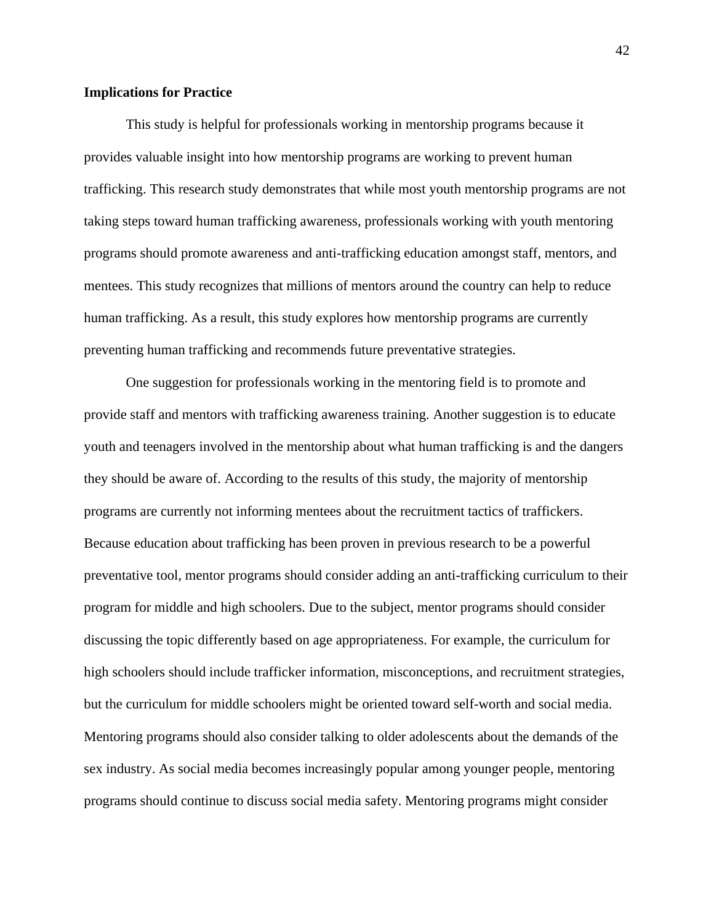#### **Implications for Practice**

This study is helpful for professionals working in mentorship programs because it provides valuable insight into how mentorship programs are working to prevent human trafficking. This research study demonstrates that while most youth mentorship programs are not taking steps toward human trafficking awareness, professionals working with youth mentoring programs should promote awareness and anti-trafficking education amongst staff, mentors, and mentees. This study recognizes that millions of mentors around the country can help to reduce human trafficking. As a result, this study explores how mentorship programs are currently preventing human trafficking and recommends future preventative strategies.

One suggestion for professionals working in the mentoring field is to promote and provide staff and mentors with trafficking awareness training. Another suggestion is to educate youth and teenagers involved in the mentorship about what human trafficking is and the dangers they should be aware of. According to the results of this study, the majority of mentorship programs are currently not informing mentees about the recruitment tactics of traffickers. Because education about trafficking has been proven in previous research to be a powerful preventative tool, mentor programs should consider adding an anti-trafficking curriculum to their program for middle and high schoolers. Due to the subject, mentor programs should consider discussing the topic differently based on age appropriateness. For example, the curriculum for high schoolers should include trafficker information, misconceptions, and recruitment strategies, but the curriculum for middle schoolers might be oriented toward self-worth and social media. Mentoring programs should also consider talking to older adolescents about the demands of the sex industry. As social media becomes increasingly popular among younger people, mentoring programs should continue to discuss social media safety. Mentoring programs might consider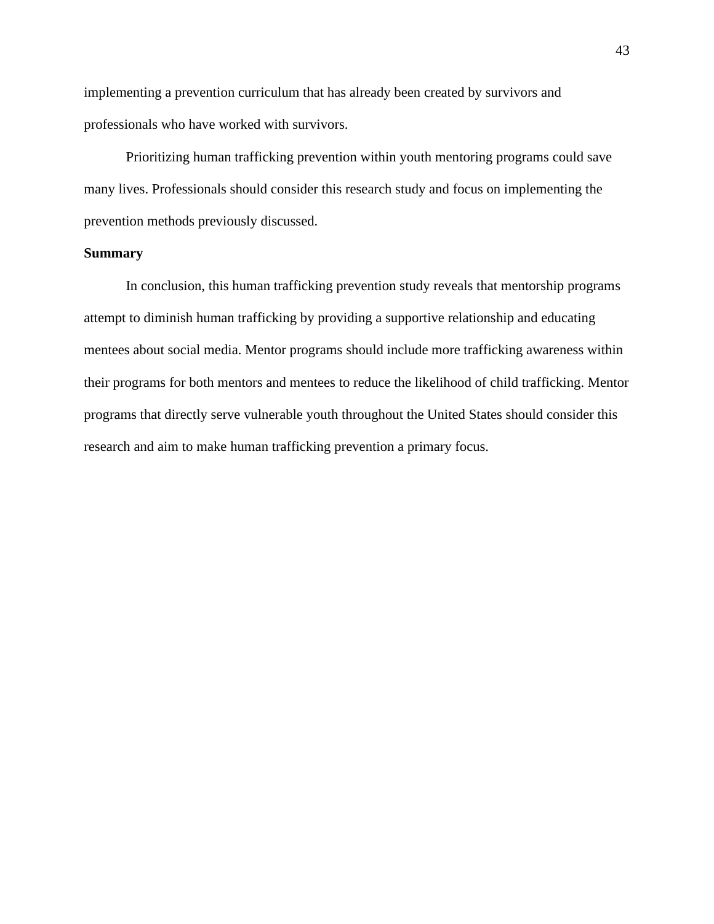implementing a prevention curriculum that has already been created by survivors and professionals who have worked with survivors.

Prioritizing human trafficking prevention within youth mentoring programs could save many lives. Professionals should consider this research study and focus on implementing the prevention methods previously discussed.

#### **Summary**

In conclusion, this human trafficking prevention study reveals that mentorship programs attempt to diminish human trafficking by providing a supportive relationship and educating mentees about social media. Mentor programs should include more trafficking awareness within their programs for both mentors and mentees to reduce the likelihood of child trafficking. Mentor programs that directly serve vulnerable youth throughout the United States should consider this research and aim to make human trafficking prevention a primary focus.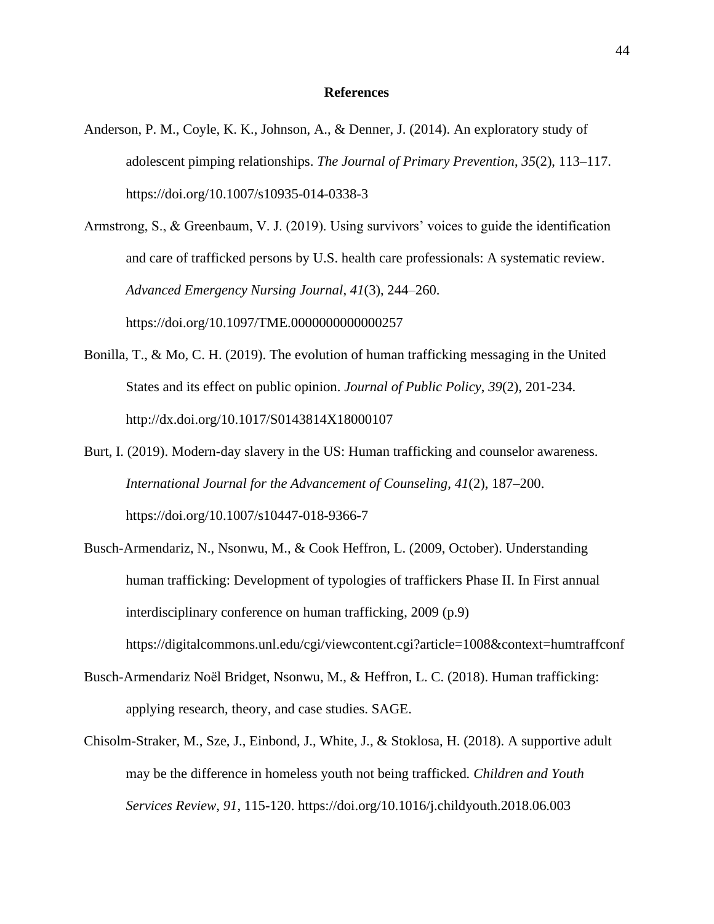#### **References**

- Anderson, P. M., Coyle, K. K., Johnson, A., & Denner, J. (2014). An exploratory study of adolescent pimping relationships. *The Journal of Primary Prevention*, *35*(2), 113–117. [https://doi.org/10.1007/s10935-014-0338-3](about:blank)
- Armstrong, S., & Greenbaum, V. J. (2019). Using survivors' voices to guide the identification and care of trafficked persons by U.S. health care professionals: A systematic review. *Advanced Emergency Nursing Journal*, *41*(3), 244–260. https://doi.org/10.1097/TME.0000000000000257
- Bonilla, T., & Mo, C. H. (2019). The evolution of human trafficking messaging in the United States and its effect on public opinion. *Journal of Public Policy*, *39*(2), 201-234. http://dx.doi.org/10.1017/S0143814X18000107
- Burt, I. (2019). Modern-day slavery in the US: Human trafficking and counselor awareness. *International Journal for the Advancement of Counseling*, *41*(2), 187–200. https://doi.org/10.1007/s10447-018-9366-7
- Busch-Armendariz, N., Nsonwu, M., & Cook Heffron, L. (2009, October). Understanding human trafficking: Development of typologies of traffickers Phase II. In First annual interdisciplinary conference on human trafficking, 2009 (p.9) https://digitalcommons.unl.edu/cgi/viewcontent.cgi?article=1008&context=humtraffconf
- Busch-Armendariz Noël Bridget, Nsonwu, M., & Heffron, L. C. (2018). Human trafficking: applying research, theory, and case studies. SAGE.
- Chisolm-Straker, M., Sze, J., Einbond, J., White, J., & Stoklosa, H. (2018). A supportive adult may be the difference in homeless youth not being trafficked*. Children and Youth Services Review*, *91*, 115-120. https://doi.org/10.1016/j.childyouth.2018.06.003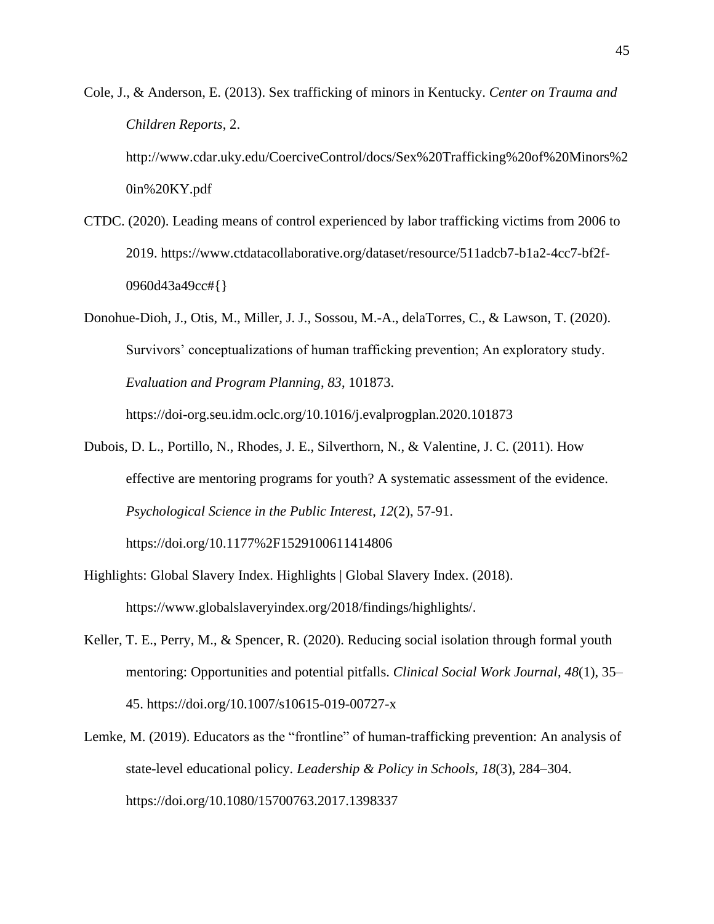Cole, J., & Anderson, E. (2013). Sex trafficking of minors in Kentucky. *Center on Trauma and Children Reports*, 2.

http://www.cdar.uky.edu/CoerciveControl/docs/Sex%20Trafficking%20of%20Minors%2 0in%20KY.pdf

- CTDC. (2020). Leading means of control experienced by labor trafficking victims from 2006 to 2019. https://www.ctdatacollaborative.org/dataset/resource/511adcb7-b1a2-4cc7-bf2f-0960d43a49cc#{}
- Donohue-Dioh, J., Otis, M., Miller, J. J., Sossou, M.-A., delaTorres, C., & Lawson, T. (2020). Survivors' conceptualizations of human trafficking prevention; An exploratory study. *Evaluation and Program Planning*, *83*, 101873.

https://doi-org.seu.idm.oclc.org/10.1016/j.evalprogplan.2020.101873

Dubois, D. L., Portillo, N., Rhodes, J. E., Silverthorn, N., & Valentine, J. C. (2011). How effective are mentoring programs for youth? A systematic assessment of the evidence. *Psychological Science in the Public Interest*, *12*(2), 57-91. https://doi.org/10.1177%2F1529100611414806

Highlights: Global Slavery Index. Highlights | Global Slavery Index. (2018).

https://www.globalslaveryindex.org/2018/findings/highlights/.

- Keller, T. E., Perry, M., & Spencer, R. (2020). Reducing social isolation through formal youth mentoring: Opportunities and potential pitfalls. *Clinical Social Work Journal*, *48*(1), 35– 45. https://doi.org/10.1007/s10615-019-00727-x
- Lemke, M. (2019). Educators as the "frontline" of human-trafficking prevention: An analysis of state-level educational policy*. Leadership & Policy in Schools*, *18*(3), 284–304. https://doi.org/10.1080/15700763.2017.1398337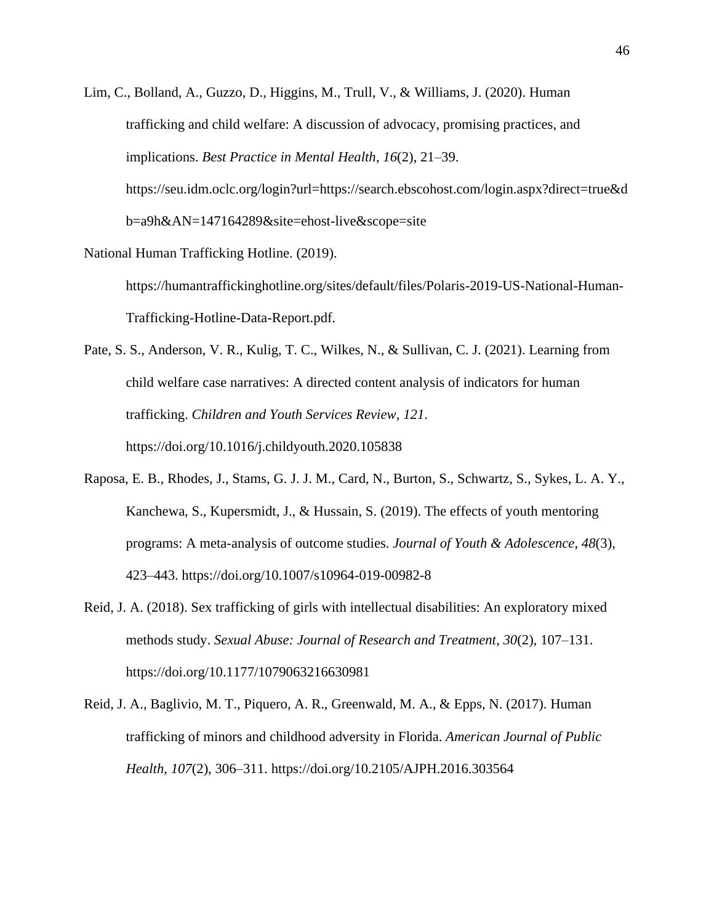Lim, C., Bolland, A., Guzzo, D., Higgins, M., Trull, V., & Williams, J. (2020). Human trafficking and child welfare: A discussion of advocacy, promising practices, and implications. *Best Practice in Mental Health*, *16*(2), 21–39. https://seu.idm.oclc.org/login?url=https://search.ebscohost.com/login.aspx?direct=true&d b=a9h&AN=147164289&site=ehost-live&scope=site

National Human Trafficking Hotline. (2019).

https://humantraffickinghotline.org/sites/default/files/Polaris-2019-US-National-Human-Trafficking-Hotline-Data-Report.pdf.

Pate, S. S., Anderson, V. R., Kulig, T. C., Wilkes, N., & Sullivan, C. J. (2021). Learning from child welfare case narratives: A directed content analysis of indicators for human trafficking. *Children and Youth Services Review*, *121*. https://doi.org/10.1016/j.childyouth.2020.105838

- Raposa, E. B., Rhodes, J., Stams, G. J. J. M., Card, N., Burton, S., Schwartz, S., Sykes, L. A. Y., Kanchewa, S., Kupersmidt, J., & Hussain, S. (2019). The effects of youth mentoring programs: A meta-analysis of outcome studies. *Journal of Youth & Adolescence*, *48*(3), 423–443. https://doi.org/10.1007/s10964-019-00982-8
- Reid, J. A. (2018). Sex trafficking of girls with intellectual disabilities: An exploratory mixed methods study. *Sexual Abuse: Journal of Research and Treatment*, *30*(2), 107–131. https://doi.org/10.1177/1079063216630981
- Reid, J. A., Baglivio, M. T., Piquero, A. R., Greenwald, M. A., & Epps, N. (2017). Human trafficking of minors and childhood adversity in Florida. *American Journal of Public Health*, *107*(2), 306–311. https://doi.org/10.2105/AJPH.2016.303564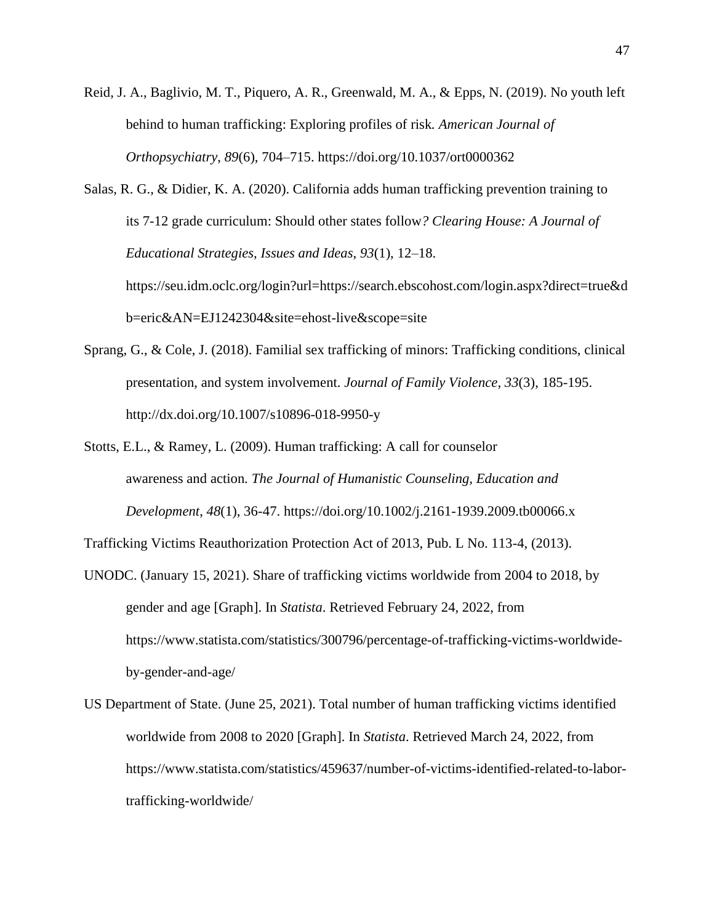Reid, J. A., Baglivio, M. T., Piquero, A. R., Greenwald, M. A., & Epps, N. (2019). No youth left behind to human trafficking: Exploring profiles of risk*. American Journal of Orthopsychiatry*, *89*(6), 704–715. https://doi.org/10.1037/ort0000362

Salas, R. G., & Didier, K. A. (2020). California adds human trafficking prevention training to its 7-12 grade curriculum: Should other states follow*? Clearing House: A Journal of Educational Strategies, Issues and Ideas*, *93*(1), 12–18. https://seu.idm.oclc.org/login?url=https://search.ebscohost.com/login.aspx?direct=true&d b=eric&AN=EJ1242304&site=ehost-live&scope=site

- Sprang, G., & Cole, J. (2018). Familial sex trafficking of minors: Trafficking conditions, clinical presentation, and system involvement. *Journal of Family Violence*, *33*(3), 185-195. http://dx.doi.org/10.1007/s10896-018-9950-y
- Stotts, E.L., & Ramey, L. (2009). Human trafficking: A call for counselor awareness and action*. The Journal of Humanistic Counseling, Education and Development*, *48*(1), 36-47. https://doi.org/10.1002/j.2161-1939.2009.tb00066.x

Trafficking Victims Reauthorization Protection Act of 2013, Pub. L No. 113-4, (2013).

- UNODC. (January 15, 2021). Share of trafficking victims worldwide from 2004 to 2018, by gender and age [Graph]. In *Statista*. Retrieved February 24, 2022, from [https://www.statista.com/statistics/300796/percentage-of-trafficking-victims-worldwide](about:blank)[by-gender-and-age/](about:blank)
- US Department of State. (June 25, 2021). Total number of human trafficking victims identified worldwide from 2008 to 2020 [Graph]. In *Statista*. Retrieved March 24, 2022, from [https://www.statista.com/statistics/459637/number-of-victims-identified-related-to-labor](about:blank)[trafficking-worldwide/](about:blank)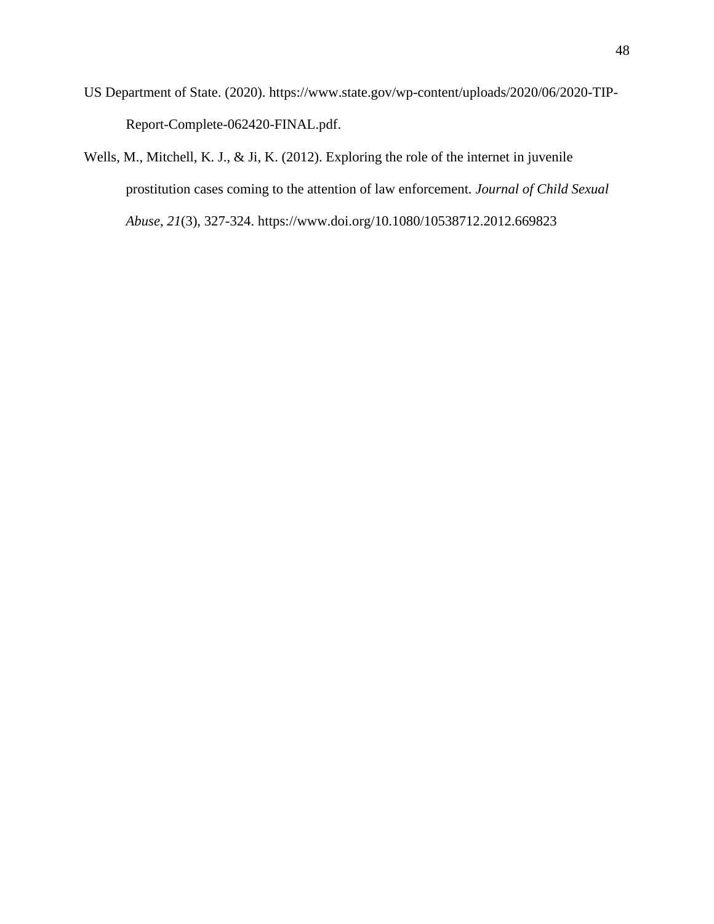- US Department of State. (2020). https://www.state.gov/wp-content/uploads/2020/06/2020-TIP-Report-Complete-062420-FINAL.pdf.
- Wells, M., Mitchell, K. J., & Ji, K. (2012). Exploring the role of the internet in juvenile prostitution cases coming to the attention of law enforcement*. Journal of Child Sexual Abuse*, *21*(3), 327-324. https://www.doi.org/10.1080/10538712.2012.669823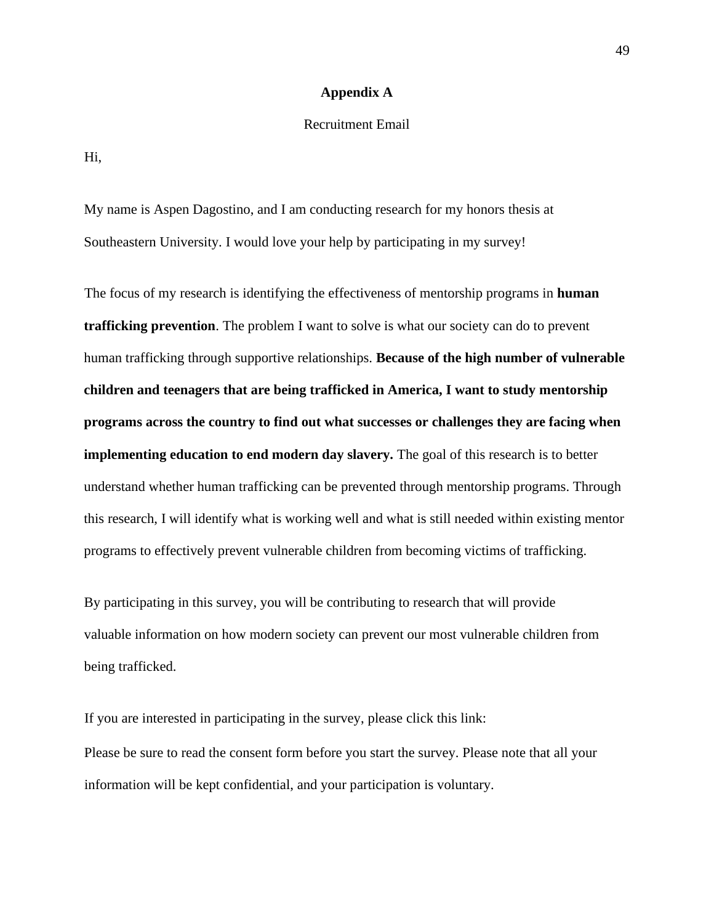#### **Appendix A**

#### Recruitment Email

Hi,

My name is Aspen Dagostino, and I am conducting research for my honors thesis at Southeastern University. I would love your help by participating in my survey!

The focus of my research is identifying the effectiveness of mentorship programs in **human trafficking prevention**. The problem I want to solve is what our society can do to prevent human trafficking through supportive relationships. **Because of the high number of vulnerable children and teenagers that are being trafficked in America, I want to study mentorship programs across the country to find out what successes or challenges they are facing when implementing education to end modern day slavery.** The goal of this research is to better understand whether human trafficking can be prevented through mentorship programs. Through this research, I will identify what is working well and what is still needed within existing mentor programs to effectively prevent vulnerable children from becoming victims of trafficking.

By participating in this survey, you will be contributing to research that will provide valuable information on how modern society can prevent our most vulnerable children from being trafficked.

If you are interested in participating in the survey, please click this link: Please be sure to read the consent form before you start the survey. Please note that all your information will be kept confidential, and your participation is voluntary.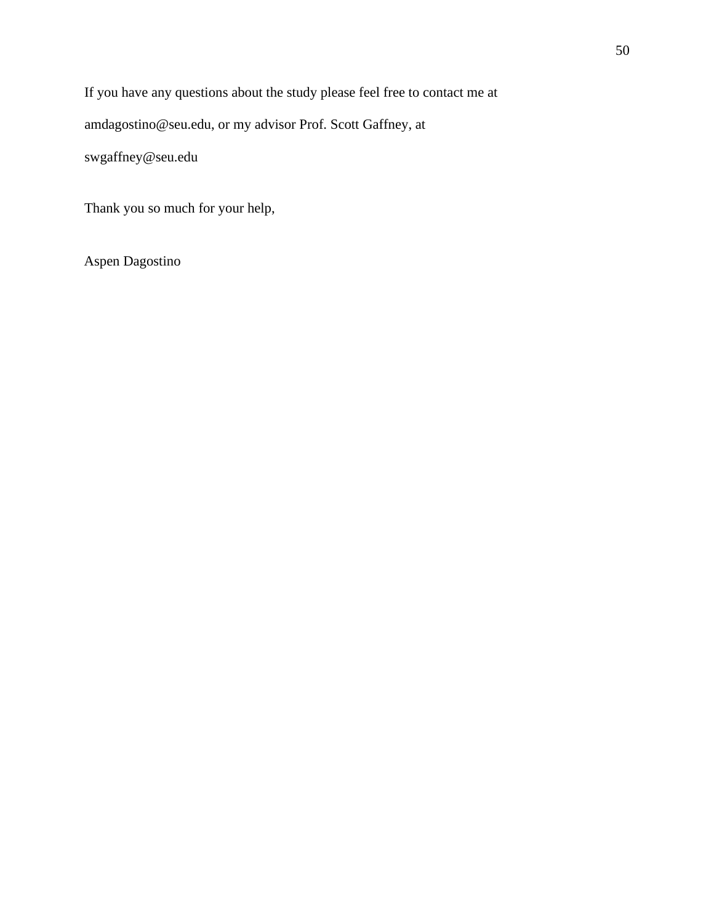If you have any questions about the study please feel free to contact me at

amdagostino@seu.edu, or my advisor Prof. Scott Gaffney, at

swgaffney@seu.edu

Thank you so much for your help,

Aspen Dagostino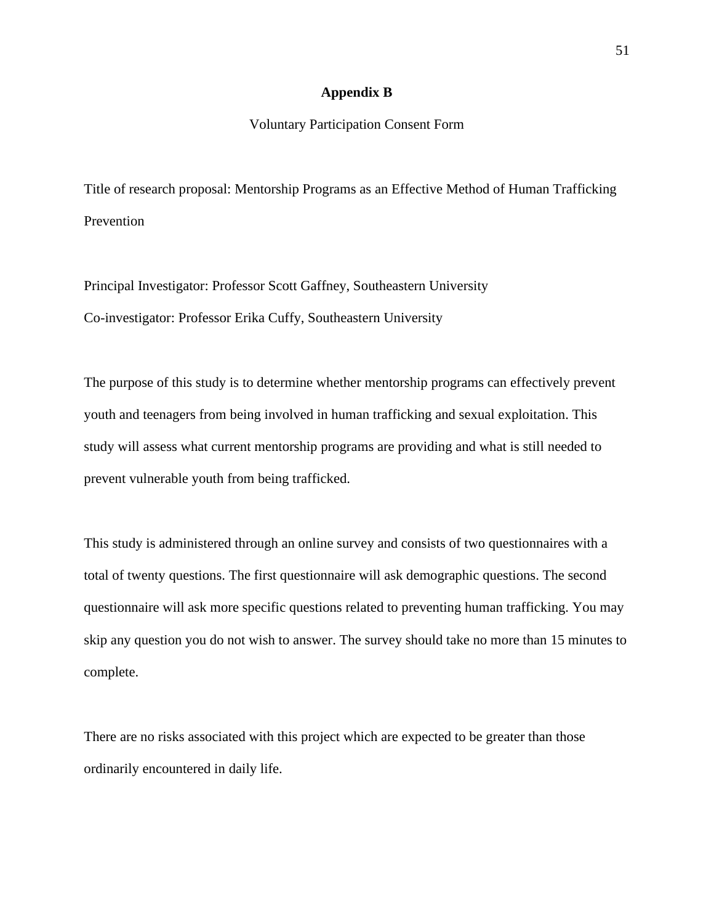#### **Appendix B**

## Voluntary Participation Consent Form

Title of research proposal: Mentorship Programs as an Effective Method of Human Trafficking Prevention

Principal Investigator: Professor Scott Gaffney, Southeastern University Co-investigator: Professor Erika Cuffy, Southeastern University

The purpose of this study is to determine whether mentorship programs can effectively prevent youth and teenagers from being involved in human trafficking and sexual exploitation. This study will assess what current mentorship programs are providing and what is still needed to prevent vulnerable youth from being trafficked.

This study is administered through an online survey and consists of two questionnaires with a total of twenty questions. The first questionnaire will ask demographic questions. The second questionnaire will ask more specific questions related to preventing human trafficking. You may skip any question you do not wish to answer. The survey should take no more than 15 minutes to complete.

There are no risks associated with this project which are expected to be greater than those ordinarily encountered in daily life.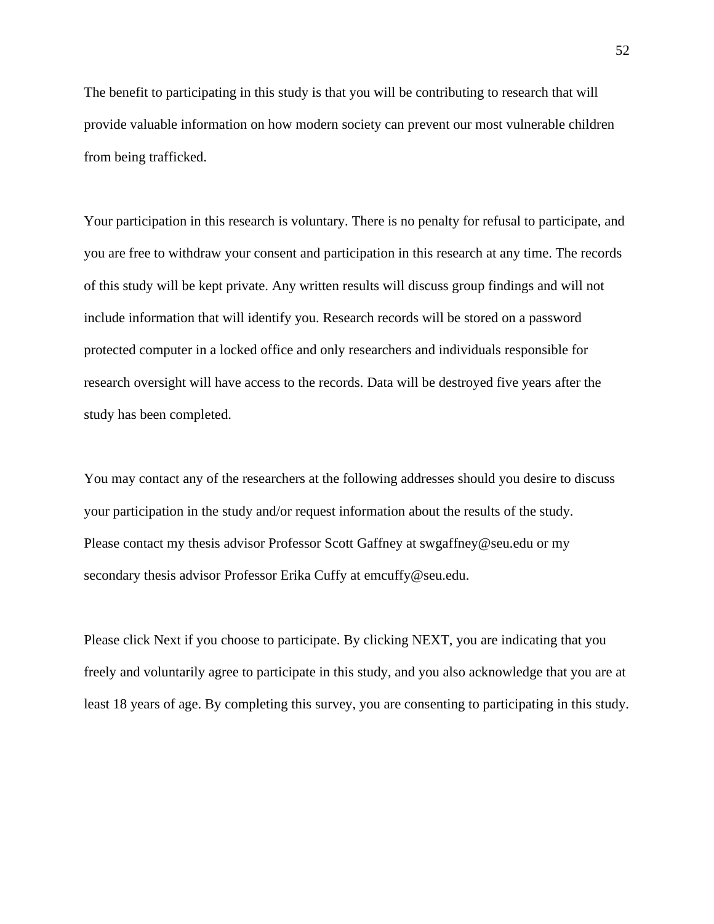The benefit to participating in this study is that you will be contributing to research that will provide valuable information on how modern society can prevent our most vulnerable children from being trafficked.

Your participation in this research is voluntary. There is no penalty for refusal to participate, and you are free to withdraw your consent and participation in this research at any time. The records of this study will be kept private. Any written results will discuss group findings and will not include information that will identify you. Research records will be stored on a password protected computer in a locked office and only researchers and individuals responsible for research oversight will have access to the records. Data will be destroyed five years after the study has been completed.

You may contact any of the researchers at the following addresses should you desire to discuss your participation in the study and/or request information about the results of the study. Please contact my thesis advisor Professor Scott Gaffney at swgaffney@seu.edu or my secondary thesis advisor Professor Erika Cuffy at emcuffy@seu.edu.

Please click Next if you choose to participate. By clicking NEXT, you are indicating that you freely and voluntarily agree to participate in this study, and you also acknowledge that you are at least 18 years of age. By completing this survey, you are consenting to participating in this study.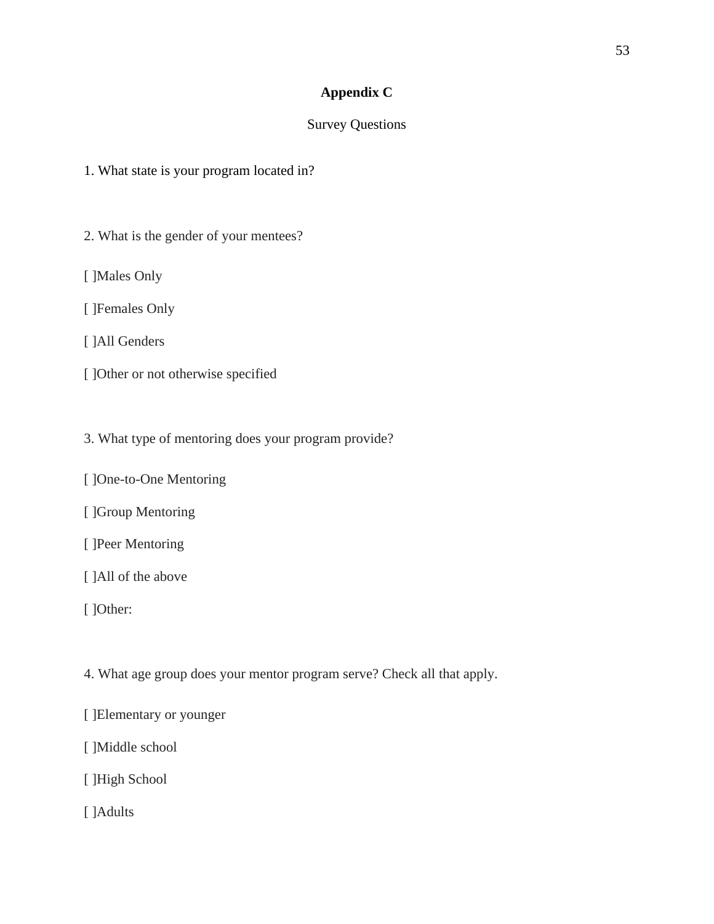# **Appendix C**

# Survey Questions

1. What state is your program located in?

- 2. What is the gender of your mentees?
- [ ]Males Only
- [ ]Females Only
- [ ]All Genders
- [ ]Other or not otherwise specified
- 3. What type of mentoring does your program provide?
- [ ]One-to-One Mentoring
- [ ]Group Mentoring
- [ ]Peer Mentoring
- [ ]All of the above
- [ ]Other:
- 4. What age group does your mentor program serve? Check all that apply.
- [ ]Elementary or younger
- [ ]Middle school
- [ ]High School
- [ ]Adults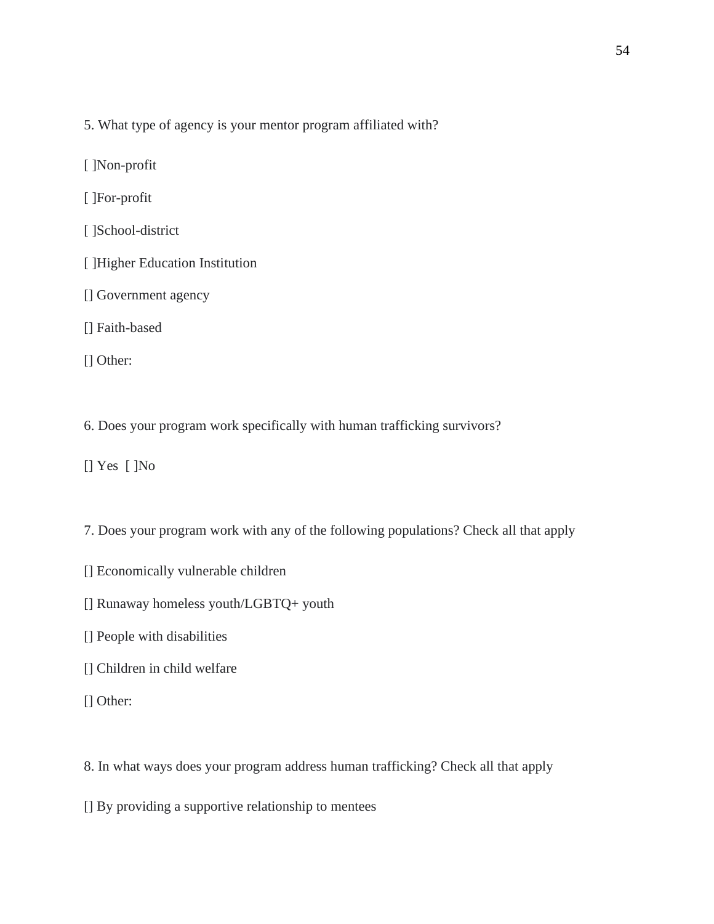- 5. What type of agency is your mentor program affiliated with?
- [ ]Non-profit
- [ ]For-profit
- [ ]School-district
- [ ]Higher Education Institution
- [] Government agency
- [] Faith-based
- [] Other:
- 6. Does your program work specifically with human trafficking survivors?
- [] Yes [ ]No
- 7. Does your program work with any of the following populations? Check all that apply
- [] Economically vulnerable children
- [] Runaway homeless youth/LGBTQ+ youth
- [] People with disabilities
- [] Children in child welfare
- [] Other:
- 8. In what ways does your program address human trafficking? Check all that apply
- [] By providing a supportive relationship to mentees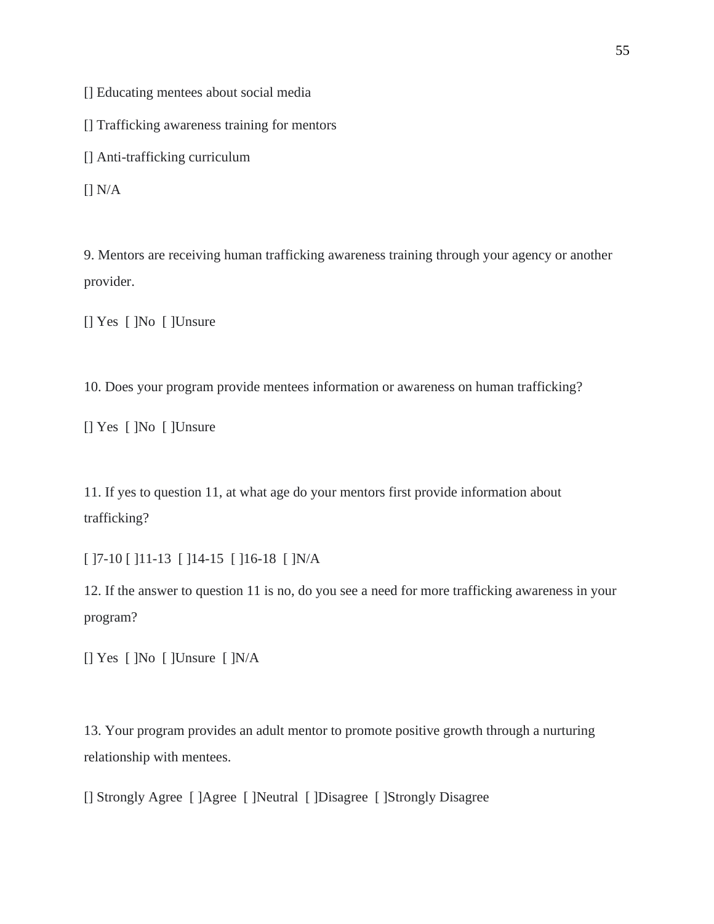[] Educating mentees about social media

[] Trafficking awareness training for mentors

[] Anti-trafficking curriculum

 $\prod N/A$ 

9. Mentors are receiving human trafficking awareness training through your agency or another provider.

[] Yes [ ]No [ ]Unsure

10. Does your program provide mentees information or awareness on human trafficking?

[] Yes [ ]No [ ]Unsure

11. If yes to question 11, at what age do your mentors first provide information about trafficking?

[ ]7-10 [ ]11-13 [ ]14-15 [ ]16-18 [ ]N/A

12. If the answer to question 11 is no, do you see a need for more trafficking awareness in your program?

[] Yes [ ]No [ ]Unsure [ ]N/A

13. Your program provides an adult mentor to promote positive growth through a nurturing relationship with mentees.

[] Strongly Agree [ ]Agree [ ]Neutral [ ]Disagree [ ]Strongly Disagree